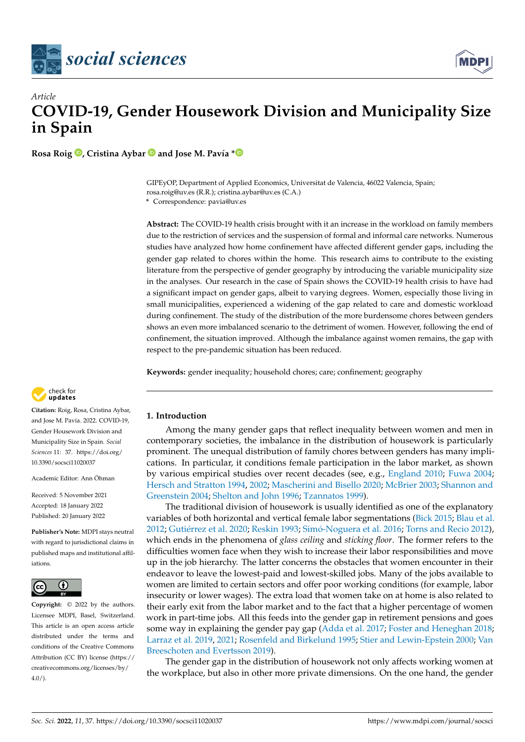



# *Article* **COVID-19, Gender Housework Division and Municipality Size in Spain**

**Rosa Roig [,](https://orcid.org/0000-0003-2408-8417) Cristina Aybar and Jose M. Pavía [\\*](https://orcid.org/0000-0002-0129-726X)**

GIPEyOP, Department of Applied Economics, Universitat de Valencia, 46022 Valencia, Spain; rosa.roig@uv.es (R.R.); cristina.aybar@uv.es (C.A.)

**\*** Correspondence: pavia@uv.es

**Abstract:** The COVID-19 health crisis brought with it an increase in the workload on family members due to the restriction of services and the suspension of formal and informal care networks. Numerous studies have analyzed how home confinement have affected different gender gaps, including the gender gap related to chores within the home. This research aims to contribute to the existing literature from the perspective of gender geography by introducing the variable municipality size in the analyses. Our research in the case of Spain shows the COVID-19 health crisis to have had a significant impact on gender gaps, albeit to varying degrees. Women, especially those living in small municipalities, experienced a widening of the gap related to care and domestic workload during confinement. The study of the distribution of the more burdensome chores between genders shows an even more imbalanced scenario to the detriment of women. However, following the end of confinement, the situation improved. Although the imbalance against women remains, the gap with respect to the pre-pandemic situation has been reduced.

**Keywords:** gender inequality; household chores; care; confinement; geography



**Citation:** Roig, Rosa, Cristina Aybar, and Jose M. Pavía. 2022. COVID-19, Gender Housework Division and Municipality Size in Spain. *Social Sciences* 11: 37. [https://doi.org/](https://doi.org/10.3390/socsci11020037) [10.3390/socsci11020037](https://doi.org/10.3390/socsci11020037)

Academic Editor: Ann Öhman

Received: 5 November 2021 Accepted: 18 January 2022 Published: 20 January 2022

**Publisher's Note:** MDPI stays neutral with regard to jurisdictional claims in published maps and institutional affiliations.



**Copyright:** © 2022 by the authors. Licensee MDPI, Basel, Switzerland. This article is an open access article distributed under the terms and conditions of the Creative Commons Attribution (CC BY) license [\(https://](https://creativecommons.org/licenses/by/4.0/) [creativecommons.org/licenses/by/](https://creativecommons.org/licenses/by/4.0/)  $4.0/$ ).

# **1. Introduction**

Among the many gender gaps that reflect inequality between women and men in contemporary societies, the imbalance in the distribution of housework is particularly prominent. The unequal distribution of family chores between genders has many implications. In particular, it conditions female participation in the labor market, as shown by various empirical studies over recent decades (see, e.g., [England](#page-17-0) [2010;](#page-17-0) [Fuwa](#page-18-0) [2004;](#page-18-0) [Hersch and Stratton](#page-18-1) [1994,](#page-18-1) [2002;](#page-18-2) [Mascherini and Bisello](#page-18-3) [2020;](#page-18-3) [McBrier](#page-18-4) [2003;](#page-18-4) [Shannon and](#page-19-0) [Greenstein](#page-19-0) [2004;](#page-19-0) [Shelton and John](#page-19-1) [1996;](#page-19-1) [Tzannatos](#page-19-2) [1999\)](#page-19-2).

The traditional division of housework is usually identified as one of the explanatory variables of both horizontal and vertical female labor segmentations [\(Bick](#page-17-1) [2015;](#page-17-1) [Blau et al.](#page-17-2) [2012;](#page-17-2) Gutié[rrez et al.](#page-18-5) [2020;](#page-18-5) [Reskin](#page-19-3) [1993;](#page-19-3) Simó[-Noguera et al.](#page-19-4) [2016;](#page-19-4) [Torns and Recio](#page-19-5) [2012\)](#page-19-5), which ends in the phenomena of *glass ceiling* and *sticking floor*. The former refers to the difficulties women face when they wish to increase their labor responsibilities and move up in the job hierarchy. The latter concerns the obstacles that women encounter in their endeavor to leave the lowest-paid and lowest-skilled jobs. Many of the jobs available to women are limited to certain sectors and offer poor working conditions (for example, labor insecurity or lower wages). The extra load that women take on at home is also related to their early exit from the labor market and to the fact that a higher percentage of women work in part-time jobs. All this feeds into the gender gap in retirement pensions and goes some way in explaining the gender pay gap [\(Adda et al.](#page-16-0) [2017;](#page-16-0) [Foster and Heneghan](#page-17-3) [2018;](#page-17-3) [Larraz et al.](#page-18-6) [2019,](#page-18-6) [2021;](#page-18-7) [Rosenfeld and Birkelund](#page-19-6) [1995;](#page-19-6) [Stier and Lewin-Epstein](#page-19-7) [2000;](#page-19-7) [Van](#page-19-8) [Breeschoten and Evertsson](#page-19-8) [2019\)](#page-19-8).

The gender gap in the distribution of housework not only affects working women at the workplace, but also in other more private dimensions. On the one hand, the gender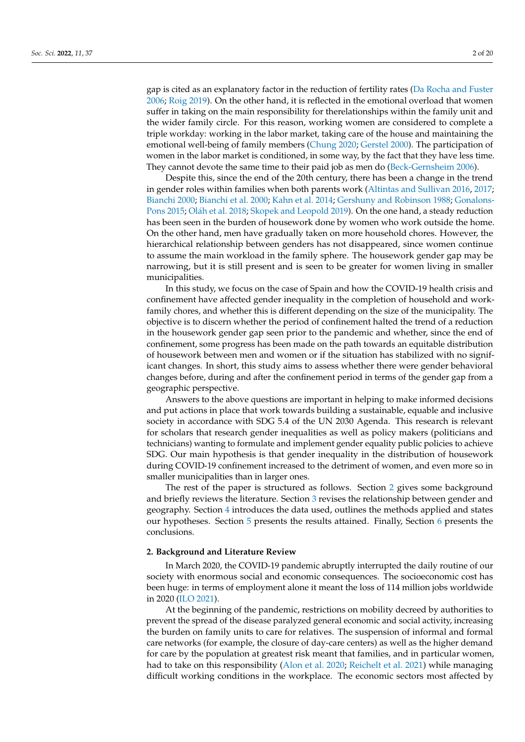gap is cited as an explanatory factor in the reduction of fertility rates [\(Da Rocha and Fuster](#page-17-4) [2006;](#page-17-4) [Roig](#page-19-9) [2019\)](#page-19-9). On the other hand, it is reflected in the emotional overload that women suffer in taking on the main responsibility for therelationships within the family unit and the wider family circle. For this reason, working women are considered to complete a triple workday: working in the labor market, taking care of the house and maintaining the emotional well-being of family members [\(Chung](#page-17-5) [2020;](#page-17-5) [Gerstel](#page-18-8) [2000\)](#page-18-8). The participation of women in the labor market is conditioned, in some way, by the fact that they have less time. They cannot devote the same time to their paid job as men do [\(Beck-Gernsheim](#page-17-6) [2006\)](#page-17-6).

Despite this, since the end of the 20th century, there has been a change in the trend in gender roles within families when both parents work [\(Altintas and Sullivan](#page-17-7) [2016,](#page-17-7) [2017;](#page-17-8) [Bianchi](#page-17-9) [2000;](#page-17-9) [Bianchi et al.](#page-17-10) [2000;](#page-17-10) [Kahn et al.](#page-18-9) [2014;](#page-18-9) [Gershuny and Robinson](#page-18-10) [1988;](#page-18-10) [Gonalons-](#page-18-11)[Pons](#page-18-11) [2015;](#page-18-11) Olá[h et al.](#page-19-10) [2018;](#page-19-10) [Skopek and Leopold](#page-19-11) [2019\)](#page-19-11). On the one hand, a steady reduction has been seen in the burden of housework done by women who work outside the home. On the other hand, men have gradually taken on more household chores. However, the hierarchical relationship between genders has not disappeared, since women continue to assume the main workload in the family sphere. The housework gender gap may be narrowing, but it is still present and is seen to be greater for women living in smaller municipalities.

In this study, we focus on the case of Spain and how the COVID-19 health crisis and confinement have affected gender inequality in the completion of household and workfamily chores, and whether this is different depending on the size of the municipality. The objective is to discern whether the period of confinement halted the trend of a reduction in the housework gender gap seen prior to the pandemic and whether, since the end of confinement, some progress has been made on the path towards an equitable distribution of housework between men and women or if the situation has stabilized with no significant changes. In short, this study aims to assess whether there were gender behavioral changes before, during and after the confinement period in terms of the gender gap from a geographic perspective.

Answers to the above questions are important in helping to make informed decisions and put actions in place that work towards building a sustainable, equable and inclusive society in accordance with SDG 5.4 of the UN 2030 Agenda. This research is relevant for scholars that research gender inequalities as well as policy makers (politicians and technicians) wanting to formulate and implement gender equality public policies to achieve SDG. Our main hypothesis is that gender inequality in the distribution of housework during COVID-19 confinement increased to the detriment of women, and even more so in smaller municipalities than in larger ones.

The rest of the paper is structured as follows. Section [2](#page-1-0) gives some background and briefly reviews the literature. Section [3](#page-3-0) revises the relationship between gender and geography. Section [4](#page-4-0) introduces the data used, outlines the methods applied and states our hypotheses. Section [5](#page-8-0) presents the results attained. Finally, Section [6](#page-13-0) presents the conclusions.

#### <span id="page-1-0"></span>**2. Background and Literature Review**

In March 2020, the COVID-19 pandemic abruptly interrupted the daily routine of our society with enormous social and economic consequences. The socioeconomic cost has been huge: in terms of employment alone it meant the loss of 114 million jobs worldwide in 2020 [\(ILO](#page-18-12) [2021\)](#page-18-12).

At the beginning of the pandemic, restrictions on mobility decreed by authorities to prevent the spread of the disease paralyzed general economic and social activity, increasing the burden on family units to care for relatives. The suspension of informal and formal care networks (for example, the closure of day-care centers) as well as the higher demand for care by the population at greatest risk meant that families, and in particular women, had to take on this responsibility [\(Alon et al.](#page-17-11) [2020;](#page-17-11) [Reichelt et al.](#page-19-12) [2021\)](#page-19-12) while managing difficult working conditions in the workplace. The economic sectors most affected by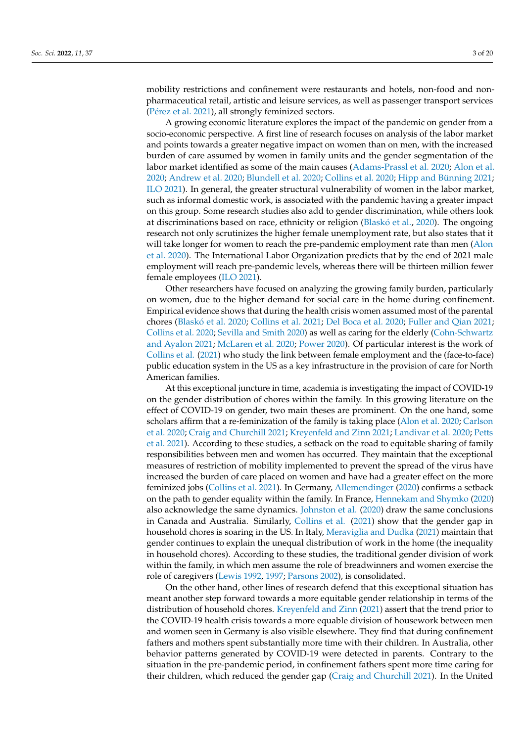mobility restrictions and confinement were restaurants and hotels, non-food and nonpharmaceutical retail, artistic and leisure services, as well as passenger transport services (Pé[rez et al.](#page-19-13) [2021\)](#page-19-13), all strongly feminized sectors.

A growing economic literature explores the impact of the pandemic on gender from a socio-economic perspective. A first line of research focuses on analysis of the labor market and points towards a greater negative impact on women than on men, with the increased burden of care assumed by women in family units and the gender segmentation of the labor market identified as some of the main causes [\(Adams-Prassl et al.](#page-16-1) [2020;](#page-16-1) [Alon et al.](#page-17-11) [2020;](#page-17-11) [Andrew et al.](#page-17-12) [2020;](#page-17-12) [Blundell et al.](#page-17-13) [2020;](#page-17-13) [Collins et al.](#page-17-14) [2020;](#page-17-14) [Hipp and Bünning](#page-18-13) [2021;](#page-18-13) [ILO](#page-18-12) [2021\)](#page-18-12). In general, the greater structural vulnerability of women in the labor market, such as informal domestic work, is associated with the pandemic having a greater impact on this group. Some research studies also add to gender discrimination, while others look at discriminations based on race, ethnicity or religion [\(Blask](#page-17-15)ó et al., [2020\)](#page-16-1). The ongoing research not only scrutinizes the higher female unemployment rate, but also states that it will take longer for women to reach the pre-pandemic employment rate than men [\(Alon](#page-17-11) [et al.](#page-17-11) [2020\)](#page-17-11). The International Labor Organization predicts that by the end of 2021 male employment will reach pre-pandemic levels, whereas there will be thirteen million fewer female employees [\(ILO](#page-18-12) [2021\)](#page-18-12).

Other researchers have focused on analyzing the growing family burden, particularly on women, due to the higher demand for social care in the home during confinement. Empirical evidence shows that during the health crisis women assumed most of the parental chores [\(Blask](#page-17-15)ó et al. [2020;](#page-17-15) [Collins et al.](#page-17-16) [2021;](#page-17-16) [Del Boca et al.](#page-17-17) [2020;](#page-17-17) [Fuller and Qian](#page-18-14) [2021;](#page-18-14) [Collins et al.](#page-17-14) [2020;](#page-17-14) [Sevilla and Smith](#page-19-14) [2020\)](#page-19-14) as well as caring for the elderly [\(Cohn-Schwartz](#page-17-18) [and Ayalon](#page-17-18) [2021;](#page-17-18) [McLaren et al.](#page-18-15) [2020;](#page-18-15) [Power](#page-19-15) [2020\)](#page-19-15). Of particular interest is the work of [Collins et al.](#page-17-16) [\(2021\)](#page-17-16) who study the link between female employment and the (face-to-face) public education system in the US as a key infrastructure in the provision of care for North American families.

At this exceptional juncture in time, academia is investigating the impact of COVID-19 on the gender distribution of chores within the family. In this growing literature on the effect of COVID-19 on gender, two main theses are prominent. On the one hand, some scholars affirm that a re-feminization of the family is taking place [\(Alon et al.](#page-17-11) [2020;](#page-17-11) [Carlson](#page-17-19) [et al.](#page-17-19) [2020;](#page-17-19) [Craig and Churchill](#page-17-20) [2021;](#page-17-20) [Kreyenfeld and Zinn](#page-18-16) [2021;](#page-18-16) [Landivar et al.](#page-18-17) [2020;](#page-18-17) [Petts](#page-19-16) [et al.](#page-19-16) [2021\)](#page-19-16). According to these studies, a setback on the road to equitable sharing of family responsibilities between men and women has occurred. They maintain that the exceptional measures of restriction of mobility implemented to prevent the spread of the virus have increased the burden of care placed on women and have had a greater effect on the more feminized jobs [\(Collins et al.](#page-17-16) [2021\)](#page-17-16). In Germany, [Allemendinger](#page-16-2) [\(2020\)](#page-16-2) confirms a setback on the path to gender equality within the family. In France, [Hennekam and Shymko](#page-18-18) [\(2020\)](#page-18-18) also acknowledge the same dynamics. [Johnston et al.](#page-18-19) [\(2020\)](#page-18-19) draw the same conclusions in Canada and Australia. Similarly, [Collins et al.](#page-17-16) [\(2021\)](#page-17-16) show that the gender gap in household chores is soaring in the US. In Italy, [Meraviglia and Dudka](#page-18-20) [\(2021\)](#page-18-20) maintain that gender continues to explain the unequal distribution of work in the home (the inequality in household chores). According to these studies, the traditional gender division of work within the family, in which men assume the role of breadwinners and women exercise the role of caregivers [\(Lewis](#page-18-21) [1992,](#page-18-21) [1997;](#page-18-22) [Parsons](#page-19-17) [2002\)](#page-19-17), is consolidated.

On the other hand, other lines of research defend that this exceptional situation has meant another step forward towards a more equitable gender relationship in terms of the distribution of household chores. [Kreyenfeld and Zinn](#page-18-16) [\(2021\)](#page-18-16) assert that the trend prior to the COVID-19 health crisis towards a more equable division of housework between men and women seen in Germany is also visible elsewhere. They find that during confinement fathers and mothers spent substantially more time with their children. In Australia, other behavior patterns generated by COVID-19 were detected in parents. Contrary to the situation in the pre-pandemic period, in confinement fathers spent more time caring for their children, which reduced the gender gap [\(Craig and Churchill](#page-17-20) [2021\)](#page-17-20). In the United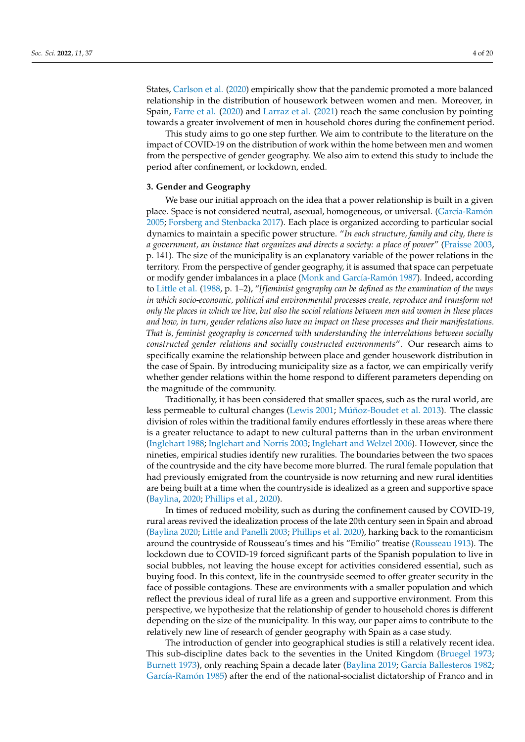States, [Carlson et al.](#page-17-19) [\(2020\)](#page-17-19) empirically show that the pandemic promoted a more balanced relationship in the distribution of housework between women and men. Moreover, in Spain, [Farre et al.](#page-17-21) [\(2020\)](#page-17-21) and [Larraz et al.](#page-18-7) [\(2021\)](#page-18-7) reach the same conclusion by pointing towards a greater involvement of men in household chores during the confinement period.

This study aims to go one step further. We aim to contribute to the literature on the impact of COVID-19 on the distribution of work within the home between men and women from the perspective of gender geography. We also aim to extend this study to include the period after confinement, or lockdown, ended.

#### <span id="page-3-0"></span>**3. Gender and Geography**

We base our initial approach on the idea that a power relationship is built in a given place. Space is not considered neutral, asexual, homogeneous, or universal. (Garcí[a-Ram](#page-18-23)ón [2005;](#page-18-23) [Forsberg and Stenbacka](#page-17-22) [2017\)](#page-17-22). Each place is organized according to particular social dynamics to maintain a specific power structure. "*In each structure, family and city, there is a government, an instance that organizes and directs a society: a place of power*" [\(Fraisse](#page-17-23) [2003,](#page-17-23) p. 141). The size of the municipality is an explanatory variable of the power relations in the territory. From the perspective of gender geography, it is assumed that space can perpetuate or modify gender imbalances in a place [\(Monk and Garc](#page-18-24)ía-Ramón [1987\)](#page-18-24). Indeed, according to [Little et al.](#page-18-25) [\(1988,](#page-18-25) p. 1–2), "*[f]eminist geography can be defined as the examination of the ways in which socio-economic, political and environmental processes create, reproduce and transform not only the places in which we live, but also the social relations between men and women in these places and how, in turn, gender relations also have an impact on these processes and their manifestations. That is, feminist geography is concerned with understanding the interrelations between socially constructed gender relations and socially constructed environments*". Our research aims to specifically examine the relationship between place and gender housework distribution in the case of Spain. By introducing municipality size as a factor, we can empirically verify whether gender relations within the home respond to different parameters depending on the magnitude of the community.

Traditionally, it has been considered that smaller spaces, such as the rural world, are less permeable to cultural changes [\(Lewis](#page-18-26) [2001;](#page-18-26) Mú[ñoz-Boudet et al.](#page-19-18) [2013\)](#page-19-18). The classic division of roles within the traditional family endures effortlessly in these areas where there is a greater reluctance to adapt to new cultural patterns than in the urban environment [\(Inglehart](#page-18-27) [1988;](#page-18-27) [Inglehart and Norris](#page-18-28) [2003;](#page-18-28) [Inglehart and Welzel](#page-18-29) [2006\)](#page-18-29). However, since the nineties, empirical studies identify new ruralities. The boundaries between the two spaces of the countryside and the city have become more blurred. The rural female population that had previously emigrated from the countryside is now returning and new rural identities are being built at a time when the countryside is idealized as a green and supportive space [\(Baylina,](#page-17-24) [2020;](#page-16-1) [Phillips et al.,](#page-19-19) [2020\)](#page-16-1).

In times of reduced mobility, such as during the confinement caused by COVID-19, rural areas revived the idealization process of the late 20th century seen in Spain and abroad [\(Baylina](#page-17-25) [2020;](#page-17-25) [Little and Panelli](#page-18-30) [2003;](#page-18-30) [Phillips et al.](#page-19-19) [2020\)](#page-19-19), harking back to the romanticism around the countryside of Rousseau's times and his "Emilio" treatise [\(Rousseau](#page-19-20) [1913\)](#page-19-20). The lockdown due to COVID-19 forced significant parts of the Spanish population to live in social bubbles, not leaving the house except for activities considered essential, such as buying food. In this context, life in the countryside seemed to offer greater security in the face of possible contagions. These are environments with a smaller population and which reflect the previous ideal of rural life as a green and supportive environment. From this perspective, we hypothesize that the relationship of gender to household chores is different depending on the size of the municipality. In this way, our paper aims to contribute to the relatively new line of research of gender geography with Spain as a case study.

The introduction of gender into geographical studies is still a relatively recent idea. This sub-discipline dates back to the seventies in the United Kingdom [\(Bruegel](#page-17-26) [1973;](#page-17-26) [Burnett](#page-17-27) [1973\)](#page-17-27), only reaching Spain a decade later [\(Baylina](#page-17-24) [2019;](#page-17-24) Garcí[a Ballesteros](#page-18-31) [1982;](#page-18-31) Garcí[a-Ram](#page-18-32)ón [1985\)](#page-18-32) after the end of the national-socialist dictatorship of Franco and in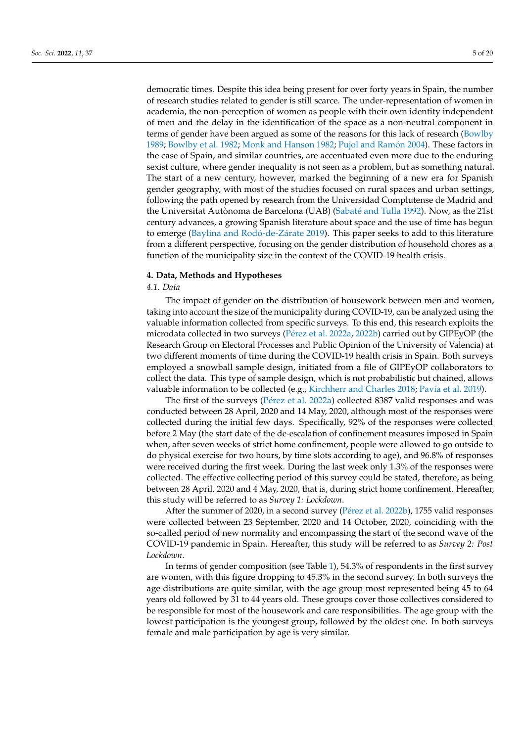democratic times. Despite this idea being present for over forty years in Spain, the number of research studies related to gender is still scarce. The under-representation of women in academia, the non-perception of women as people with their own identity independent of men and the delay in the identification of the space as a non-neutral component in terms of gender have been argued as some of the reasons for this lack of research [\(Bowlby](#page-17-28) [1989;](#page-17-28) [Bowlby et al.](#page-17-29) [1982;](#page-17-29) [Monk and Hanson](#page-19-21) [1982;](#page-19-21) [Pujol and Ram](#page-19-22)ón [2004\)](#page-19-22). These factors in the case of Spain, and similar countries, are accentuated even more due to the enduring sexist culture, where gender inequality is not seen as a problem, but as something natural. The start of a new century, however, marked the beginning of a new era for Spanish gender geography, with most of the studies focused on rural spaces and urban settings, following the path opened by research from the Universidad Complutense de Madrid and the Universitat Autònoma de Barcelona (UAB) (Sabaté [and Tulla](#page-19-23) [1992\)](#page-19-23). Now, as the 21st century advances, a growing Spanish literature about space and the use of time has begun to emerge [\(Baylina and Rod](#page-17-30)ó-de-Zárate [2019\)](#page-17-30). This paper seeks to add to this literature from a different perspective, focusing on the gender distribution of household chores as a function of the municipality size in the context of the COVID-19 health crisis.

#### <span id="page-4-0"></span>**4. Data, Methods and Hypotheses**

## *4.1. Data*

The impact of gender on the distribution of housework between men and women, taking into account the size of the municipality during COVID-19, can be analyzed using the valuable information collected from specific surveys. To this end, this research exploits the microdata collected in two surveys (Pé[rez et al.](#page-19-24) [2022a,](#page-19-24) [2022b\)](#page-19-25) carried out by GIPEyOP (the Research Group on Electoral Processes and Public Opinion of the University of Valencia) at two different moments of time during the COVID-19 health crisis in Spain. Both surveys employed a snowball sample design, initiated from a file of GIPEyOP collaborators to collect the data. This type of sample design, which is not probabilistic but chained, allows valuable information to be collected (e.g., [Kirchherr and Charles](#page-18-33) [2018;](#page-18-33) Paví[a et al.](#page-19-26) [2019\)](#page-19-26).

The first of the surveys (Pé[rez et al.](#page-19-24) [2022a\)](#page-19-24) collected 8387 valid responses and was conducted between 28 April, 2020 and 14 May, 2020, although most of the responses were collected during the initial few days. Specifically, 92% of the responses were collected before 2 May (the start date of the de-escalation of confinement measures imposed in Spain when, after seven weeks of strict home confinement, people were allowed to go outside to do physical exercise for two hours, by time slots according to age), and 96.8% of responses were received during the first week. During the last week only 1.3% of the responses were collected. The effective collecting period of this survey could be stated, therefore, as being between 28 April, 2020 and 4 May, 2020, that is, during strict home confinement. Hereafter, this study will be referred to as *Survey 1: Lockdown*.

After the summer of 2020, in a second survey (Pé[rez et al.](#page-19-25) [2022b\)](#page-19-25), 1755 valid responses were collected between 23 September, 2020 and 14 October, 2020, coinciding with the so-called period of new normality and encompassing the start of the second wave of the COVID-19 pandemic in Spain. Hereafter, this study will be referred to as *Survey 2: Post Lockdown*.

In terms of gender composition (see Table [1\)](#page-5-0), 54.3% of respondents in the first survey are women, with this figure dropping to 45.3% in the second survey. In both surveys the age distributions are quite similar, with the age group most represented being 45 to 64 years old followed by 31 to 44 years old. These groups cover those collectives considered to be responsible for most of the housework and care responsibilities. The age group with the lowest participation is the youngest group, followed by the oldest one. In both surveys female and male participation by age is very similar.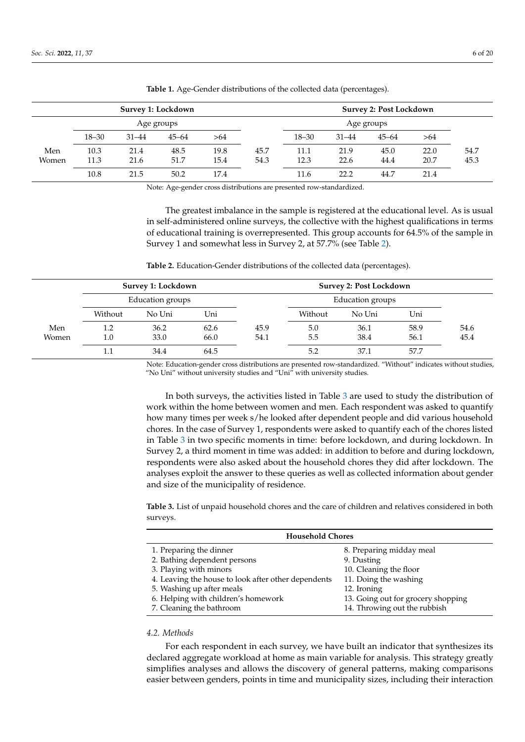| Survey 1: Lockdown |           |           |            |      |      |           |           | <b>Survey 2: Post Lockdown</b> |      |      |
|--------------------|-----------|-----------|------------|------|------|-----------|-----------|--------------------------------|------|------|
|                    |           |           | Age groups |      |      |           |           | Age groups                     |      |      |
|                    | $18 - 30$ | $31 - 44$ | $45 - 64$  | >64  |      | $18 - 30$ | $31 - 44$ | $45 - 64$                      | >64  |      |
| Men                | 10.3      | 21.4      | 48.5       | 19.8 | 45.7 | 11.1      | 21.9      | 45.0                           | 22.0 | 54.7 |
| Women              | 11.3      | 21.6      | 51.7       | 15.4 | 54.3 | 12.3      | 22.6      | 44.4                           | 20.7 | 45.3 |
|                    | 10.8      | 21.5      | 50.2       | 17.4 |      | 11.6      | 22.2      | 44.7                           | 21.4 |      |

<span id="page-5-0"></span>**Table 1.** Age-Gender distributions of the collected data (percentages).

Note: Age-gender cross distributions are presented row-standardized.

The greatest imbalance in the sample is registered at the educational level. As is usual in self-administered online surveys, the collective with the highest qualifications in terms of educational training is overrepresented. This group accounts for 64.5% of the sample in Survey 1 and somewhat less in Survey 2, at 57.7% (see Table [2\)](#page-5-1).

<span id="page-5-1"></span>**Table 2.** Education-Gender distributions of the collected data (percentages).

|       | Survey 1: Lockdown |                  |      |      | <b>Survey 2: Post Lockdown</b> |                  |      |      |
|-------|--------------------|------------------|------|------|--------------------------------|------------------|------|------|
|       |                    | Education groups |      |      |                                | Education groups |      |      |
|       | Without            | No Uni           | Uni  |      | Without                        | No Uni           | Uni  |      |
| Men   | 1.2                | 36.2             | 62.6 | 45.9 | 5.0                            | 36.1             | 58.9 | 54.6 |
| Women | 1.0                | 33.0             | 66.0 | 54.1 | 5.5                            | 38.4             | 56.1 | 45.4 |
|       | $1.1\,$            | 34.4             | 64.5 |      | 5.2                            | 37.1             | 57.7 |      |

Note: Education-gender cross distributions are presented row-standardized. "Without" indicates without studies, "No Uni" without university studies and "Uni" with university studies.

In both surveys, the activities listed in Table [3](#page-5-2) are used to study the distribution of work within the home between women and men. Each respondent was asked to quantify how many times per week s/he looked after dependent people and did various household chores. In the case of Survey 1, respondents were asked to quantify each of the chores listed in Table [3](#page-5-2) in two specific moments in time: before lockdown, and during lockdown. In Survey 2, a third moment in time was added: in addition to before and during lockdown, respondents were also asked about the household chores they did after lockdown. The analyses exploit the answer to these queries as well as collected information about gender and size of the municipality of residence.

<span id="page-5-2"></span>**Table 3.** List of unpaid household chores and the care of children and relatives considered in both surveys.

| <b>Household Chores</b>                             |                                    |  |  |  |  |  |
|-----------------------------------------------------|------------------------------------|--|--|--|--|--|
| 1. Preparing the dinner                             | 8. Preparing midday meal           |  |  |  |  |  |
| 2. Bathing dependent persons                        | 9. Dusting                         |  |  |  |  |  |
| 3. Playing with minors                              | 10. Cleaning the floor             |  |  |  |  |  |
| 4. Leaving the house to look after other dependents | 11. Doing the washing              |  |  |  |  |  |
| 5. Washing up after meals                           | 12. Ironing                        |  |  |  |  |  |
| 6. Helping with children's homework                 | 13. Going out for grocery shopping |  |  |  |  |  |
| 7. Cleaning the bathroom                            | 14. Throwing out the rubbish       |  |  |  |  |  |

## *4.2. Methods*

For each respondent in each survey, we have built an indicator that synthesizes its declared aggregate workload at home as main variable for analysis. This strategy greatly simplifies analyses and allows the discovery of general patterns, making comparisons easier between genders, points in time and municipality sizes, including their interaction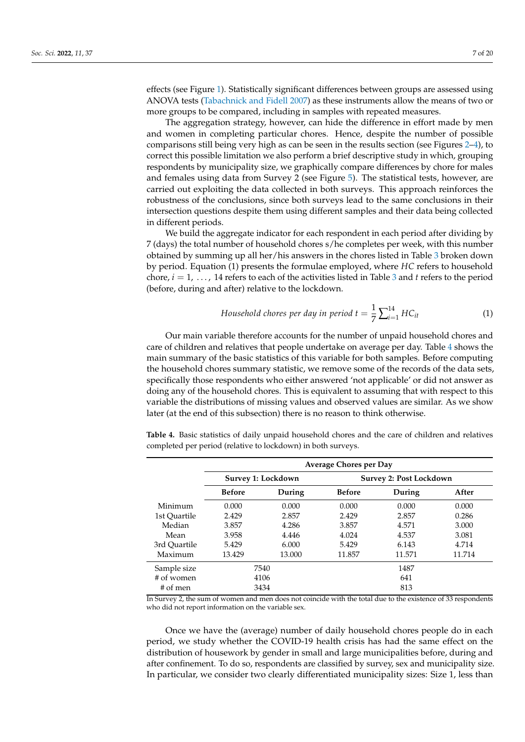effects (see Figure [1\)](#page-9-0). Statistically significant differences between groups are assessed using ANOVA tests [\(Tabachnick and Fidell](#page-19-27) [2007\)](#page-19-27) as these instruments allow the means of two or more groups to be compared, including in samples with repeated measures.

The aggregation strategy, however, can hide the difference in effort made by men and women in completing particular chores. Hence, despite the number of possible comparisons still being very high as can be seen in the results section (see Figures [2](#page-10-0)[–4\)](#page-12-0), to correct this possible limitation we also perform a brief descriptive study in which, grouping respondents by municipality size, we graphically compare differences by chore for males and females using data from Survey 2 (see Figure [5\)](#page-12-1). The statistical tests, however, are carried out exploiting the data collected in both surveys. This approach reinforces the robustness of the conclusions, since both surveys lead to the same conclusions in their intersection questions despite them using different samples and their data being collected in different periods.

We build the aggregate indicator for each respondent in each period after dividing by 7 (days) the total number of household chores s/he completes per week, with this number obtained by summing up all her/his answers in the chores listed in Table [3](#page-5-2) broken down by period. Equation (1) presents the formulae employed, where *HC* refers to household chore, *i* = 1, . . . , 14 refers to each of the activities listed in Table [3](#page-5-2) and *t* refers to the period (before, during and after) relative to the lockdown.

Household clones per day in period 
$$
t = \frac{1}{7} \sum_{i=1}^{14} HC_{it}
$$
 (1)

Our main variable therefore accounts for the number of unpaid household chores and care of children and relatives that people undertake on average per day. Table [4](#page-6-0) shows the main summary of the basic statistics of this variable for both samples. Before computing the household chores summary statistic, we remove some of the records of the data sets, specifically those respondents who either answered 'not applicable' or did not answer as doing any of the household chores. This is equivalent to assuming that with respect to this variable the distributions of missing values and observed values are similar. As we show later (at the end of this subsection) there is no reason to think otherwise.

<span id="page-6-0"></span>**Table 4.** Basic statistics of daily unpaid household chores and the care of children and relatives completed per period (relative to lockdown) in both surveys.

|              | <b>Average Chores per Day</b> |                    |               |                                |        |  |  |  |  |
|--------------|-------------------------------|--------------------|---------------|--------------------------------|--------|--|--|--|--|
|              |                               | Survey 1: Lockdown |               | <b>Survey 2: Post Lockdown</b> |        |  |  |  |  |
|              | <b>Before</b>                 | During             | <b>Before</b> | During                         | After  |  |  |  |  |
| Minimum      | 0.000                         | 0.000              | 0.000         | 0.000                          | 0.000  |  |  |  |  |
| 1st Quartile | 2.429                         | 2.857              | 2.429         | 2.857                          | 0.286  |  |  |  |  |
| Median       | 3.857                         | 4.286              | 3.857         | 4.571                          | 3.000  |  |  |  |  |
| Mean         | 3.958                         | 4.446              | 4.024         | 4.537                          | 3.081  |  |  |  |  |
| 3rd Ouartile | 5.429                         | 6.000              | 5.429         | 6.143                          | 4.714  |  |  |  |  |
| Maximum      | 13.429                        | 13.000             | 11.857        | 11.571                         | 11.714 |  |  |  |  |
| Sample size  |                               | 7540               |               | 1487                           |        |  |  |  |  |
| # of women   |                               | 4106               |               | 641                            |        |  |  |  |  |
| # of men     |                               | 3434               |               | 813                            |        |  |  |  |  |

In Survey 2, the sum of women and men does not coincide with the total due to the existence of 33 respondents who did not report information on the variable sex.

Once we have the (average) number of daily household chores people do in each period, we study whether the COVID-19 health crisis has had the same effect on the distribution of housework by gender in small and large municipalities before, during and after confinement. To do so, respondents are classified by survey, sex and municipality size. In particular, we consider two clearly differentiated municipality sizes: Size 1, less than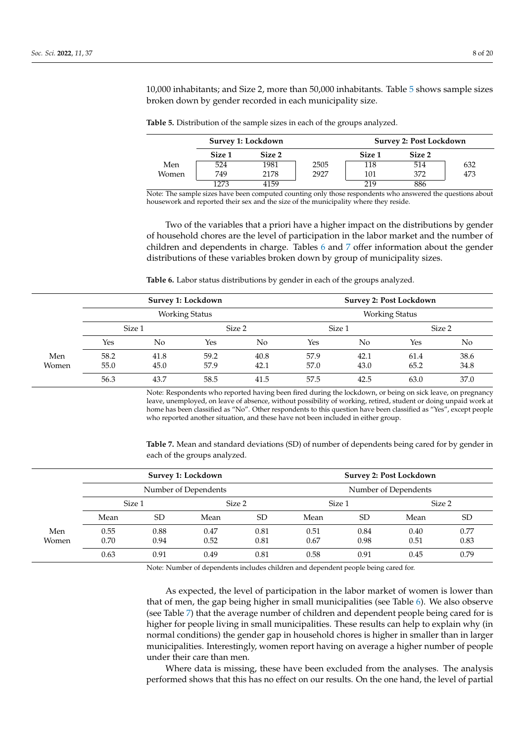10,000 inhabitants; and Size 2, more than 50,000 inhabitants. Table [5](#page-7-0) shows sample sizes broken down by gender recorded in each municipality size.

|       |        | Survey 1: Lockdown | <b>Survey 2: Post Lockdown</b> |        |        |     |
|-------|--------|--------------------|--------------------------------|--------|--------|-----|
|       | Size 1 | Size 2             |                                | Size 1 | Size 2 |     |
| Men   | 524    | 1981               | 2505                           | 118    | 514    | 632 |
| Women | 749    | 2178               | 2927                           | 101    | 372    | 473 |
|       | 1273   | 4159               |                                | 219    | 886    |     |

<span id="page-7-0"></span>**Table 5.** Distribution of the sample sizes in each of the groups analyzed.

Note: The sample sizes have been computed counting only those respondents who answered the questions about housework and reported their sex and the size of the municipality where they reside.

Two of the variables that a priori have a higher impact on the distributions by gender of household chores are the level of participation in the labor market and the number of children and dependents in charge. Tables [6](#page-7-1) and [7](#page-7-2) offer information about the gender distributions of these variables broken down by group of municipality sizes.

<span id="page-7-1"></span>**Table 6.** Labor status distributions by gender in each of the groups analyzed.

|       |        |      | Survey 1: Lockdown    |      | Survey 2: Post Lockdown |      |        |      |
|-------|--------|------|-----------------------|------|-------------------------|------|--------|------|
|       |        |      | <b>Working Status</b> |      | <b>Working Status</b>   |      |        |      |
|       | Size 1 |      | Size 2                |      | Size 1                  |      | Size 2 |      |
|       | Yes    | No   | <b>Yes</b>            | No   | Yes                     | No   | Yes    | No   |
| Men   | 58.2   | 41.8 | 59.2                  | 40.8 | 57.9                    | 42.1 | 61.4   | 38.6 |
| Women | 55.0   | 45.0 | 57.9                  | 42.1 | 57.0                    | 43.0 | 65.2   | 34.8 |
|       | 56.3   | 43.7 | 58.5                  | 41.5 | 57.5                    | 42.5 | 63.0   | 37.0 |

Note: Respondents who reported having been fired during the lockdown, or being on sick leave, on pregnancy leave, unemployed, on leave of absence, without possibility of working, retired, student or doing unpaid work at home has been classified as "No". Other respondents to this question have been classified as "Yes", except people who reported another situation, and these have not been included in either group.

<span id="page-7-2"></span>**Table 7.** Mean and standard deviations (SD) of number of dependents being cared for by gender in each of the groups analyzed.

|       |        | Survey 1: Lockdown |                      |           |                      | <b>Survey 2: Post Lockdown</b> |        |           |  |
|-------|--------|--------------------|----------------------|-----------|----------------------|--------------------------------|--------|-----------|--|
|       |        |                    | Number of Dependents |           | Number of Dependents |                                |        |           |  |
|       | Size 1 |                    | Size 2               |           | Size 1               |                                | Size 2 |           |  |
|       | Mean   | SD                 | Mean                 | <b>SD</b> | Mean                 | SD.                            | Mean   | <b>SD</b> |  |
| Men   | 0.55   | 0.88               | 0.47                 | 0.81      | 0.51                 | 0.84                           | 0.40   | 0.77      |  |
| Women | 0.70   | 0.94               | 0.52                 | 0.81      | 0.67                 | 0.98                           | 0.51   | 0.83      |  |
|       | 0.63   | 0.91               | 0.49                 | 0.81      | 0.58                 | 0.91                           | 0.45   | 0.79      |  |

Note: Number of dependents includes children and dependent people being cared for.

As expected, the level of participation in the labor market of women is lower than that of men, the gap being higher in small municipalities (see Table [6\)](#page-7-1). We also observe (see Table [7\)](#page-7-2) that the average number of children and dependent people being cared for is higher for people living in small municipalities. These results can help to explain why (in normal conditions) the gender gap in household chores is higher in smaller than in larger municipalities. Interestingly, women report having on average a higher number of people under their care than men.

Where data is missing, these have been excluded from the analyses. The analysis performed shows that this has no effect on our results. On the one hand, the level of partial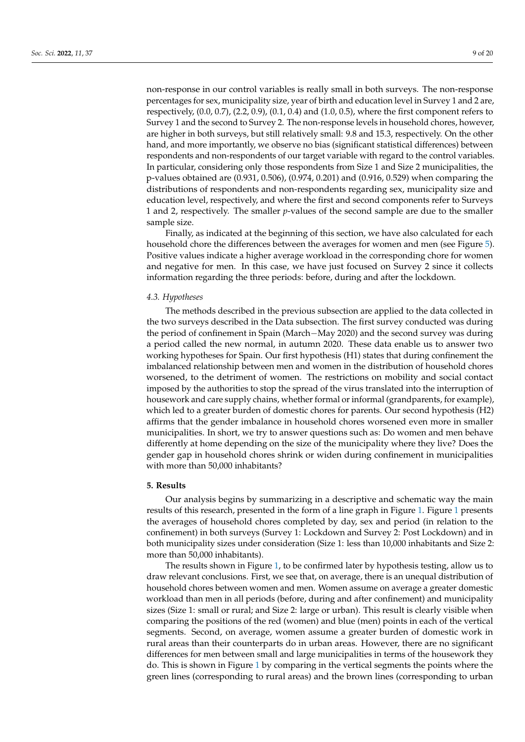non-response in our control variables is really small in both surveys. The non-response percentages for sex, municipality size, year of birth and education level in Survey 1 and 2 are, respectively,  $(0.0, 0.7)$ ,  $(2.2, 0.9)$ ,  $(0.1, 0.4)$  and  $(1.0, 0.5)$ , where the first component refers to Survey 1 and the second to Survey 2. The non-response levels in household chores, however, are higher in both surveys, but still relatively small: 9.8 and 15.3, respectively. On the other hand, and more importantly, we observe no bias (significant statistical differences) between respondents and non-respondents of our target variable with regard to the control variables. In particular, considering only those respondents from Size 1 and Size 2 municipalities, the p-values obtained are (0.931, 0.506), (0.974, 0.201) and (0.916, 0.529) when comparing the distributions of respondents and non-respondents regarding sex, municipality size and education level, respectively, and where the first and second components refer to Surveys 1 and 2, respectively. The smaller *p*-values of the second sample are due to the smaller sample size.

Finally, as indicated at the beginning of this section, we have also calculated for each household chore the differences between the averages for women and men (see Figure [5\)](#page-12-1). Positive values indicate a higher average workload in the corresponding chore for women and negative for men. In this case, we have just focused on Survey 2 since it collects information regarding the three periods: before, during and after the lockdown.

#### *4.3. Hypotheses*

The methods described in the previous subsection are applied to the data collected in the two surveys described in the Data subsection. The first survey conducted was during the period of confinement in Spain (March−May 2020) and the second survey was during a period called the new normal, in autumn 2020. These data enable us to answer two working hypotheses for Spain. Our first hypothesis (H1) states that during confinement the imbalanced relationship between men and women in the distribution of household chores worsened, to the detriment of women. The restrictions on mobility and social contact imposed by the authorities to stop the spread of the virus translated into the interruption of housework and care supply chains, whether formal or informal (grandparents, for example), which led to a greater burden of domestic chores for parents. Our second hypothesis (H2) affirms that the gender imbalance in household chores worsened even more in smaller municipalities. In short, we try to answer questions such as: Do women and men behave differently at home depending on the size of the municipality where they live? Does the gender gap in household chores shrink or widen during confinement in municipalities with more than 50,000 inhabitants?

### <span id="page-8-0"></span>**5. Results**

Our analysis begins by summarizing in a descriptive and schematic way the main results of this research, presented in the form of a line graph in Figure [1.](#page-9-0) Figure [1](#page-9-0) presents the averages of household chores completed by day, sex and period (in relation to the confinement) in both surveys (Survey 1: Lockdown and Survey 2: Post Lockdown) and in both municipality sizes under consideration (Size 1: less than 10,000 inhabitants and Size 2: more than 50,000 inhabitants).

The results shown in Figure [1,](#page-9-0) to be confirmed later by hypothesis testing, allow us to draw relevant conclusions. First, we see that, on average, there is an unequal distribution of household chores between women and men. Women assume on average a greater domestic workload than men in all periods (before, during and after confinement) and municipality sizes (Size 1: small or rural; and Size 2: large or urban). This result is clearly visible when comparing the positions of the red (women) and blue (men) points in each of the vertical segments. Second, on average, women assume a greater burden of domestic work in rural areas than their counterparts do in urban areas. However, there are no significant differences for men between small and large municipalities in terms of the housework they do. This is shown in Figure [1](#page-9-0) by comparing in the vertical segments the points where the green lines (corresponding to rural areas) and the brown lines (corresponding to urban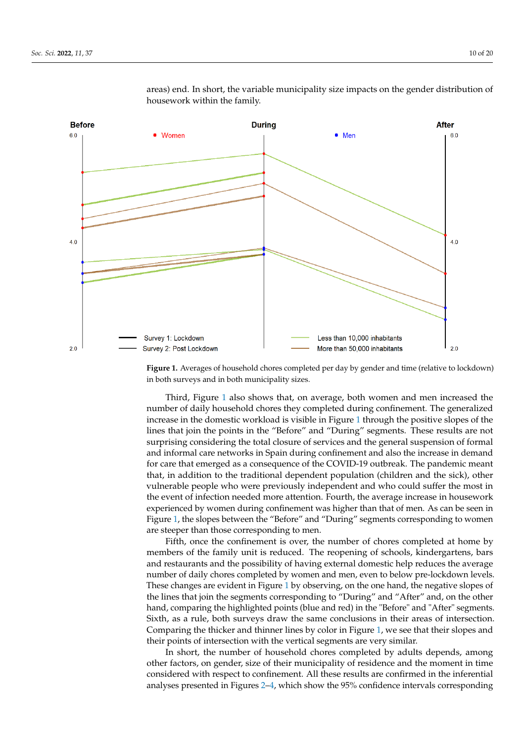<span id="page-9-0"></span>

areas) end. In short, the variable municipality size impacts on the gender distribution of housework within the family.

Figure 1. Averages of household chores completed per day by gender and time (relative to lockdown) in both surveys and in both municipality sizes.

Third, Figure 1 also shows that, on average, both women and men increased the num-number of daily household chores they completed during confinement. The generalized nametr of daily household chores they completed during commentent. The generalized increase in the domestic workload is visible in Figure [1](#page-9-0) through the positive slopes of the lines that join the points in the "Before" and "During" segments. These results are not surprising considering the total closure of services and the general suspension of formal and informal care networks in Spain during confinement and also the increase in demand for care that emerged as a consequence of the COVID-19 outbreak. The pandemic meant that, in addition to the traditional dependent population (children and the sick), other vulnerable people who were previously independent and who could suffer the most in the event of infection needed more attention. Fourth, the average increase in housework<br>the event of infection needed more attention. Fourth, the average increase in housework Experienced by women during commement was righter than that of ment. The can be seen in Figure [1,](#page-9-0) the slopes between the "Before" and "During" segments corresponding to women  $\frac{1}{e}$  are steeper than those corresponding to men. Third, Figure [1](#page-9-0) also shows that, on average, both women and men increased the experienced by women during confinement was higher than that of men. As can be seen in

Fifth, once the confinement is over, the number of chores completed at home by members of the family unit is reduced. The reopening of schools, kindergartens, bars and restaurants and the possibility of having external domestic help reduces the average number of daily chores completed by women and men, even to below pre-lockdown levels. These changes are evident in Figure 1 by observing, on the one hand, the negative slopes of the lines that join the segments corresponding to "During" and "After" and, on the other Figure 1 by only and general points (but and red) in the before and Their segments.<br>Sixth, as a rule, both surveys draw the same conclusions in their areas of intersection. Comparing the thicker and thinner lines by color in Figure [1,](#page-9-0) we see that their slopes and their points of intersection with the vertical segments are very similar. hand, comparing the highlighted points (blue and red) in the "Before" and "After" segments.

In short, the number of household chores completed by adults depends, among other factors, on gender, size of their municipality of residence and the moment in time considered with respect to confinement. All these results are confirmed in the inferential analyses presented in Figures 2–4, which s[ho](#page-10-0)w the 95% confidence intervals corresponding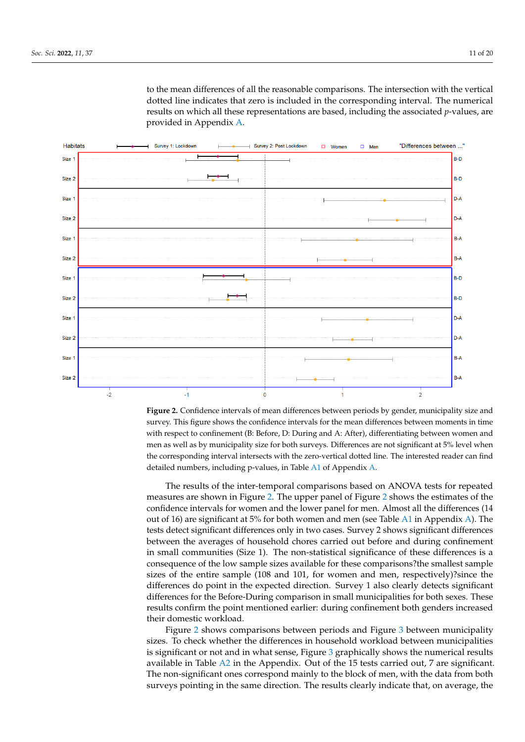to the mean differences of all the reasonable comparisons. The intersection with the vertical dotted line indicates that zero is included in the corresponding interval. The numerical results on which all these representations are based, including the associated *p*-values, are provided in Appendix [A.](#page-15-0)

<span id="page-10-0"></span>

**Figure 2.** Confidence intervals of mean differences between periods by gender, municipality size **Figure 2.** Confidence intervals of mean differences between periods by gender, municipality size and survey. This figure shows the confidence intervals for the mean differences between moments in time with respect to confinement (B: Before, D: During and A: After), differentiating between women and men as well as by municipality size for both surveys. Differences are not significant at 5% level when the corresponding interval intersects with the zero-vertical dotted line. The interested reader can find detailed numbers, including p-values, in Table [A1](#page-15-1) of Appendix [A.](#page-15-0)

The results of the inter-temporal comparisons based on ANOVA tests for repeated The results of the inter-temporal comparisons based on ANOVA tests for repeated measures are shown in Figure [2.](#page-10-0) The upper panel of Figure [2](#page-10-0) shows the estimates of the measures are shown in Figure 2. The upper panel of Figure 2 shows the estimates of the confidence intervals for women and the lower panel for men. Almost all the differences (14 out of 16) are significant at 5% for both women and men (se[e Ta](#page-15-1)ble A1 in A[ppe](#page-15-0)ndix A). The tests detect significant differences only in two cases. Survey 2 shows significant differences between the averages of household chores carried out before and during confinement in small communities (Size 1). The non-statistical significance of these differences is a consequence of the low sample sizes available for these comparisons?the smallest sample sizes of the entire sample (108 and 101, for women and men, respectively)?since the differences do point in the expected direction. Survey 1 also clearly detects significant differences for the Before-During comparison in small municipalities for both sexes. These results confirm the point mentioned earlier: during confinement both genders increased their domestic workload.

Figure [2](#page-10-0) shows comparisons between periods and Figure [3](#page-11-0) between municipality Figure 2 shows comparisons between periods and Figure 3 between municipality sizes. To check whether the differences in household workload between municipalities is significant or not and in what sense, Figure  $3$  graphically shows the numerical results available in Table [A2](#page-16-3) in the Appendix. Out of the 15 tests carried out, 7 are significant. available in Table A2 in the Appendix. Out of the 15 tests carried out, 7 are significant. The non-significant ones correspond mainly to the block of men, with the data from both The non-significant ones correspond mainly to the block of men, with the data from both surveys pointing in the same direction. The results clearly indicate that, on average, the surveys pointing in the same direction. The results clearly indicate that, on average, the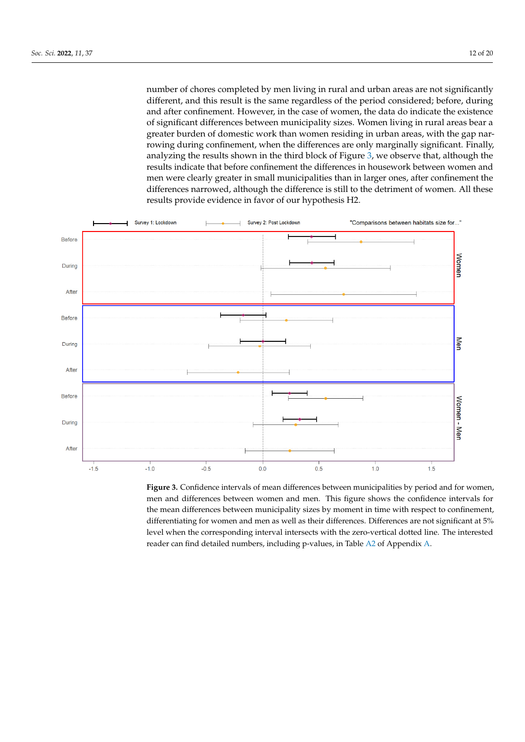number of chores completed by men living in rural and urban areas are not significantly different, and this result is the same regardless of the period considered; before, during and after confinement. However, in the case of women, the data do indicate the existence of significant differences between municipality sizes. Women living in rural areas bear a greater burden of domestic work than women residing in urban areas, with the gap nar-greater burden of domestic work than women residing in urban areas, with the gap narrowing during confinement, when the differences are only marginally significant. Finally, rowing during confinement, when the differences are only marginally significant. Finally, analyzing the results shown in the third block of Figure [3,](#page-11-0) we observe that, although the analyzing the results shown in the third block of Figure 3, we observe that, although the results indicate that before confinement the differences in housework between women and men were clearly greater in small municipalities than in larger ones, after confinement the differences narrowed, although the difference is still to the detriment of women. All these results provide evidence in favor of our hypothesis H2.

<span id="page-11-0"></span>

Figure 3. Confidence intervals of mean differences between municipalities by period and for women, **Figure 3.** Confidence intervals of mean differences between municipalities by period and for women,<br>men and differences between women and men. This figure shows the confidence intervals for the mean differences between municipality sizes by moment in time with respect to confinement, differentiating for women and men as well as their differences. Differences are not significant at 5% differentiating for women and men as well as their differences. Differences are not significant at 5% level when the corresponding interval intersects with the zero-vertical dotted line. The interested level when the corresponding interval intersects with the zero-vertical dotted line. The interested reader can find detailed numbers, including p-values, in Table A2 of Appendix A. reader can find detailed numbers, including p-values, in Table [A2](#page-16-3) of Appendix [A.](#page-15-0)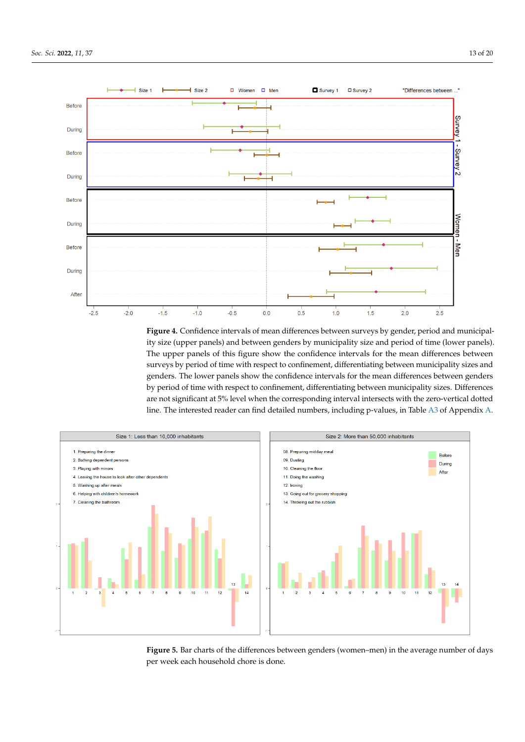<span id="page-12-0"></span>

**Figure 4.** Confidence intervals of mean differences between surveys by gender, period and municipality size (upper panels) and between genders by municipality size and period of time (lower panels). The upper panels of this figure show the confidence intervals for the mean differences between surveys by period of time with respect to confinement, differentiating between municipality sizes and genders. The lower panels show the confidence intervals for the mean differences between genders by period of time with respect to confinement, differentiating between municipality sizes. Differences ferences are not significant at  $\frac{1}{\sqrt{1-\frac{1}{\sqrt{1-\frac{1}{\sqrt{1-\frac{1}{\sqrt{1-\frac{1}{\sqrt{1-\frac{1}{\sqrt{1-\frac{1}{\sqrt{1-\frac{1}{\sqrt{1-\frac{1}{\sqrt{1-\frac{1}{\sqrt{1-\frac{1}{\sqrt{1-\frac{1}{\sqrt{1-\frac{1}{\sqrt{1-\frac{1}{\sqrt{1-\frac{1}{\sqrt{1-\frac{1}{\sqrt{1-\frac{1}{\sqrt{1-\frac{1}{\sqrt{1-\frac{1}{\sqrt{1-\frac{1}{\sqrt{1-\frac{1}{\sqrt{$ vertical dotted line. The interested reader can find detailed numbers, including p-values, in Table are not significant at 5% level when the corresponding interval intersects with the zero-vertical dotted meals, cleaning the bathroom, preparing the midday meal, dusting, cleaning the floor and line. The interested reader can find detailed numbers, including p-values, in Table [A3](#page-16-4) of Appendix [A.](#page-15-0)  $\,$ 

<span id="page-12-1"></span>

Figure 5. Bar charts of the differences between genders (women-men) in the average number of days per week each household chore is done.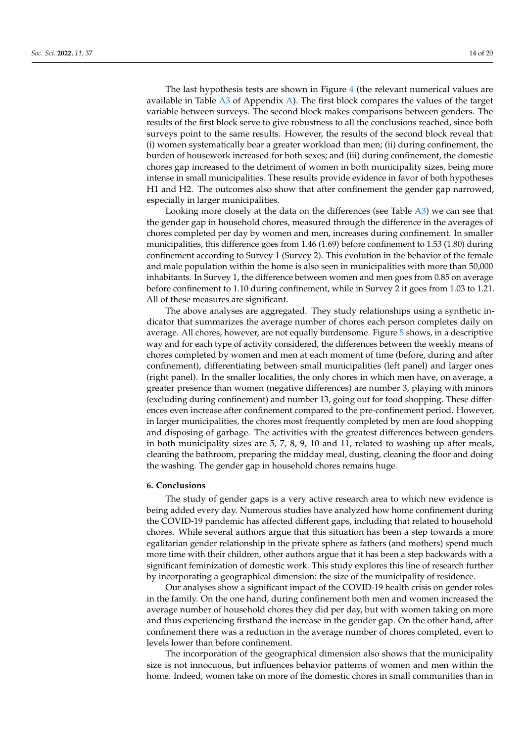The last hypothesis tests are shown in Figure [4](#page-12-0) (the relevant numerical values are available in Table [A3](#page-16-4) of Appendix [A\)](#page-15-0). The first block compares the values of the target variable between surveys. The second block makes comparisons between genders. The results of the first block serve to give robustness to all the conclusions reached, since both surveys point to the same results. However, the results of the second block reveal that: (i) women systematically bear a greater workload than men; (ii) during confinement, the burden of housework increased for both sexes; and (iii) during confinement, the domestic chores gap increased to the detriment of women in both municipality sizes, being more intense in small municipalities. These results provide evidence in favor of both hypotheses H1 and H2. The outcomes also show that after confinement the gender gap narrowed, especially in larger municipalities.

Looking more closely at the data on the differences (see Table [A3\)](#page-16-4) we can see that the gender gap in household chores, measured through the difference in the averages of chores completed per day by women and men, increases during confinement. In smaller municipalities, this difference goes from 1.46 (1.69) before confinement to 1.53 (1.80) during confinement according to Survey 1 (Survey 2). This evolution in the behavior of the female and male population within the home is also seen in municipalities with more than 50,000 inhabitants. In Survey 1, the difference between women and men goes from 0.85 on average before confinement to 1.10 during confinement, while in Survey 2 it goes from 1.03 to 1.21. All of these measures are significant.

The above analyses are aggregated. They study relationships using a synthetic indicator that summarizes the average number of chores each person completes daily on average. All chores, however, are not equally burdensome. Figure [5](#page-12-1) shows, in a descriptive way and for each type of activity considered, the differences between the weekly means of chores completed by women and men at each moment of time (before, during and after confinement), differentiating between small municipalities (left panel) and larger ones (right panel). In the smaller localities, the only chores in which men have, on average, a greater presence than women (negative differences) are number 3, playing with minors (excluding during confinement) and number 13, going out for food shopping. These differences even increase after confinement compared to the pre-confinement period. However, in larger municipalities, the chores most frequently completed by men are food shopping and disposing of garbage. The activities with the greatest differences between genders in both municipality sizes are 5, 7, 8, 9, 10 and 11, related to washing up after meals, cleaning the bathroom, preparing the midday meal, dusting, cleaning the floor and doing the washing. The gender gap in household chores remains huge.

## <span id="page-13-0"></span>**6. Conclusions**

The study of gender gaps is a very active research area to which new evidence is being added every day. Numerous studies have analyzed how home confinement during the COVID-19 pandemic has affected different gaps, including that related to household chores. While several authors argue that this situation has been a step towards a more egalitarian gender relationship in the private sphere as fathers (and mothers) spend much more time with their children, other authors argue that it has been a step backwards with a significant feminization of domestic work. This study explores this line of research further by incorporating a geographical dimension: the size of the municipality of residence.

Our analyses show a significant impact of the COVID-19 health crisis on gender roles in the family. On the one hand, during confinement both men and women increased the average number of household chores they did per day, but with women taking on more and thus experiencing firsthand the increase in the gender gap. On the other hand, after confinement there was a reduction in the average number of chores completed, even to levels lower than before confinement.

The incorporation of the geographical dimension also shows that the municipality size is not innocuous, but influences behavior patterns of women and men within the home. Indeed, women take on more of the domestic chores in small communities than in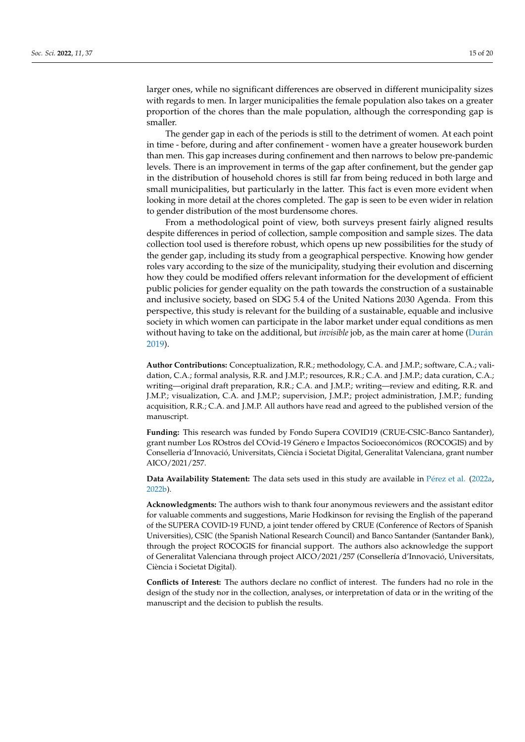larger ones, while no significant differences are observed in different municipality sizes with regards to men. In larger municipalities the female population also takes on a greater proportion of the chores than the male population, although the corresponding gap is smaller.

The gender gap in each of the periods is still to the detriment of women. At each point in time - before, during and after confinement - women have a greater housework burden than men. This gap increases during confinement and then narrows to below pre-pandemic levels. There is an improvement in terms of the gap after confinement, but the gender gap in the distribution of household chores is still far from being reduced in both large and small municipalities, but particularly in the latter. This fact is even more evident when looking in more detail at the chores completed. The gap is seen to be even wider in relation to gender distribution of the most burdensome chores.

From a methodological point of view, both surveys present fairly aligned results despite differences in period of collection, sample composition and sample sizes. The data collection tool used is therefore robust, which opens up new possibilities for the study of the gender gap, including its study from a geographical perspective. Knowing how gender roles vary according to the size of the municipality, studying their evolution and discerning how they could be modified offers relevant information for the development of efficient public policies for gender equality on the path towards the construction of a sustainable and inclusive society, based on SDG 5.4 of the United Nations 2030 Agenda. From this perspective, this study is relevant for the building of a sustainable, equable and inclusive society in which women can participate in the labor market under equal conditions as men without having to take on the additional, but *invisible* job, as the main carer at home [\(Dur](#page-17-31)án [2019\)](#page-17-31).

**Author Contributions:** Conceptualization, R.R.; methodology, C.A. and J.M.P.; software, C.A.; validation, C.A.; formal analysis, R.R. and J.M.P.; resources, R.R.; C.A. and J.M.P.; data curation, C.A.; writing—original draft preparation, R.R.; C.A. and J.M.P.; writing—review and editing, R.R. and J.M.P.; visualization, C.A. and J.M.P.; supervision, J.M.P.; project administration, J.M.P.; funding acquisition, R.R.; C.A. and J.M.P. All authors have read and agreed to the published version of the manuscript.

**Funding:** This research was funded by Fondo Supera COVID19 (CRUE-CSIC-Banco Santander), grant number Los ROstros del COvid-19 Género e Impactos Socioeconómicos (ROCOGIS) and by Conselleria d'Innovació, Universitats, Ciència i Societat Digital, Generalitat Valenciana, grant number AICO/2021/257.

**Data Availability Statement:** The data sets used in this study are available in Pé[rez et al.](#page-19-24) [\(2022a,](#page-19-24) [2022b\)](#page-19-25).

**Acknowledgments:** The authors wish to thank four anonymous reviewers and the assistant editor for valuable comments and suggestions, Marie Hodkinson for revising the English of the paperand of the SUPERA COVID-19 FUND, a joint tender offered by CRUE (Conference of Rectors of Spanish Universities), CSIC (the Spanish National Research Council) and Banco Santander (Santander Bank), through the project ROCOGIS for financial support. The authors also acknowledge the support of Generalitat Valenciana through project AICO/2021/257 (Consellería d'Innovació, Universitats, Ciència i Societat Digital).

**Conflicts of Interest:** The authors declare no conflict of interest. The funders had no role in the design of the study nor in the collection, analyses, or interpretation of data or in the writing of the manuscript and the decision to publish the results.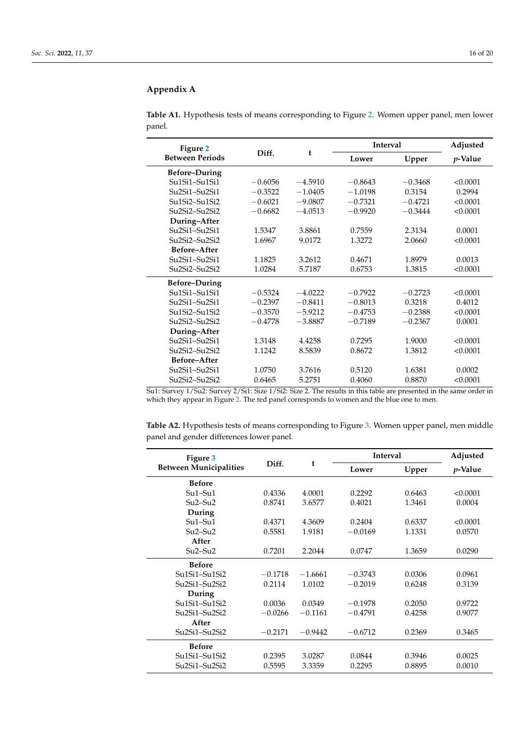# <span id="page-15-0"></span>**Appendix A**

<span id="page-15-1"></span>

|        | Table A1. Hypothesis tests of means corresponding to Figure 2. Women upper panel, men lower |  |  |
|--------|---------------------------------------------------------------------------------------------|--|--|
| panel. |                                                                                             |  |  |

| Figure 2                                                         |           |           | <b>Interval</b> |           | Adjusted        |
|------------------------------------------------------------------|-----------|-----------|-----------------|-----------|-----------------|
| <b>Between Periods</b>                                           | Diff.     | t         | Lower           | Upper     | <i>p</i> -Value |
| <b>Before-During</b>                                             |           |           |                 |           |                 |
| $Su1Si1-Su1Si1$                                                  | $-0.6056$ | $-4.5910$ | $-0.8643$       | $-0.3468$ | < 0.0001        |
| Su <sub>2</sub> Si <sub>1</sub> -Su <sub>2Si1</sub>              | $-0.3522$ | $-1.0405$ | $-1.0198$       | 0.3154    | 0.2994          |
| Su1Si2-Su1Si2                                                    | $-0.6021$ | $-9.0807$ | $-0.7321$       | $-0.4721$ | < 0.0001        |
| Su <sub>2</sub> Si <sub>2</sub> -Su <sub>2Si2</sub>              | $-0.6682$ | $-4.0513$ | $-0.9920$       | $-0.3444$ | < 0.0001        |
| During-After                                                     |           |           |                 |           |                 |
| $Su2Si1-Su2Si1$                                                  | 1.5347    | 3.8861    | 0.7559          | 2.3134    | 0.0001          |
| Su <sub>2</sub> Si <sub>2</sub> -Su <sub>2Si2</sub>              | 1.6967    | 9.0172    | 1.3272          | 2.0660    | < 0.0001        |
| Before-After                                                     |           |           |                 |           |                 |
| $Su2Si1-Su2Si1$                                                  | 1.1825    | 3.2612    | 0.4671          | 1.8979    | 0.0013          |
| Su <sub>2</sub> Si <sub>2</sub> -Su <sub>2Si<sub>2</sub></sub>   | 1.0284    | 5.7187    | 0.6753          | 1.3815    | < 0.0001        |
| <b>Before-During</b>                                             |           |           |                 |           |                 |
| $Su1Si1-Su1Si1$                                                  | $-0.5324$ | $-4.0222$ | $-0.7922$       | $-0.2723$ | < 0.0001        |
| Su2Si1-Su2Si1                                                    | $-0.2397$ | $-0.8411$ | $-0.8013$       | 0.3218    | 0.4012          |
| Su1Si2-Su1Si2                                                    | $-0.3570$ | $-5.9212$ | $-0.4753$       | $-0.2388$ | < 0.0001        |
| Su2Si2-Su2Si2                                                    | $-0.4778$ | $-3.8887$ | $-0.7189$       | $-0.2367$ | 0.0001          |
| During-After                                                     |           |           |                 |           |                 |
| Su2Si1-Su2Si1                                                    | 1.3148    | 4.4258    | 0.7295          | 1.9000    | < 0.0001        |
| Su <sub>2</sub> Si <sub>2</sub> -Su <sub>2</sub> Si <sub>2</sub> | 1.1242    | 8.5839    | 0.8672          | 1.3812    | < 0.0001        |
| Before-After                                                     |           |           |                 |           |                 |
| Su <sub>2</sub> Si <sub>1</sub> -Su <sub>2Si1</sub>              | 1.0750    | 3.7616    | 0.5120          | 1.6381    | 0.0002          |
| Su <sub>2</sub> Si <sub>2</sub> -Su <sub>2Si2</sub>              | 0.6465    | 5.2751    | 0.4060          | 0.8870    | < 0.0001        |

Su1: Survey 1/Su2: Survey 2/Si1: Size 1/Si2: Size 2. The results in this table are presented in the same order in which they appear in Figure [2.](#page-10-0) The red panel corresponds to women and the blue one to men.

| Table A2. Hypothesis tests of means corresponding to Figure 3. Women upper panel, men middle |  |
|----------------------------------------------------------------------------------------------|--|
| panel and gender differences lower panel.                                                    |  |

| Figure 3                                                       |           |           | Interval  |        | Adjusted        |
|----------------------------------------------------------------|-----------|-----------|-----------|--------|-----------------|
| <b>Between Municipalities</b>                                  | Diff.     | t         | Lower     | Upper  | <i>p</i> -Value |
| <b>Before</b>                                                  |           |           |           |        |                 |
| $Su1-Su1$                                                      | 0.4336    | 4.0001    | 0.2292    | 0.6463 | < 0.0001        |
| $Su2-Su2$                                                      | 0.8741    | 3.6577    | 0.4021    | 1.3461 | 0.0004          |
| During                                                         |           |           |           |        |                 |
| $Su1-Su1$                                                      | 0.4371    | 4.3609    | 0.2404    | 0.6337 | < 0.0001        |
| $Su2-Su2$                                                      | 0.5581    | 1.9181    | $-0.0169$ | 1.1331 | 0.0570          |
| After                                                          |           |           |           |        |                 |
| $Su2-Su2$                                                      | 0.7201    | 2.2044    | 0.0747    | 1.3659 | 0.0290          |
| <b>Before</b>                                                  |           |           |           |        |                 |
| Su1Si1-Su1Si2                                                  | $-0.1718$ | $-1.6661$ | $-0.3743$ | 0.0306 | 0.0961          |
| Su <sub>2</sub> Si <sub>1</sub> -Su <sub>2Si2</sub>            | 0.2114    | 1.0102    | $-0.2019$ | 0.6248 | 0.3139          |
| During                                                         |           |           |           |        |                 |
| Su1Si1-Su1Si2                                                  | 0.0036    | 0.0349    | $-0.1978$ | 0.2050 | 0.9722          |
| $Su2Si1-Su2Si2$                                                | $-0.0266$ | $-0.1161$ | $-0.4791$ | 0.4258 | 0.9077          |
| After                                                          |           |           |           |        |                 |
| Su <sub>2</sub> Si <sub>1</sub> -Su <sub>2Si<sub>2</sub></sub> | $-0.2171$ | $-0.9442$ | $-0.6712$ | 0.2369 | 0.3465          |
| <b>Before</b>                                                  |           |           |           |        |                 |
| Su1Si1-Su1Si2                                                  | 0.2395    | 3.0287    | 0.0844    | 0.3946 | 0.0025          |
| Su <sub>2</sub> Si <sub>1</sub> -Su <sub>2Si2</sub>            | 0.5595    | 3.3359    | 0.2295    | 0.8895 | 0.0010          |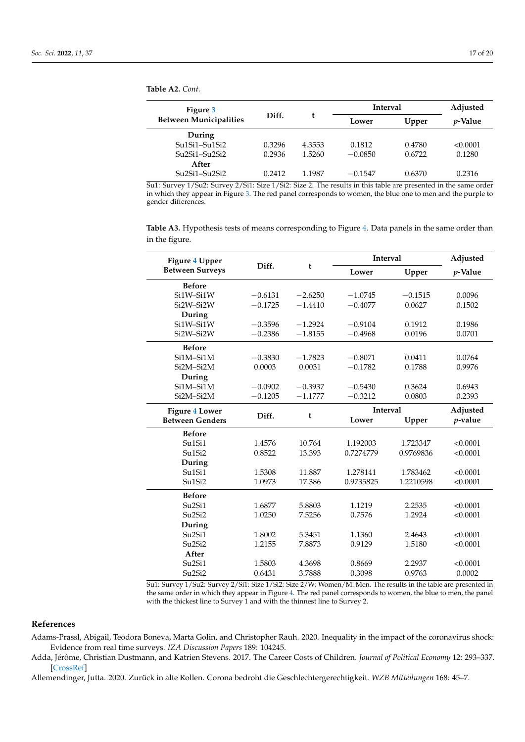<span id="page-16-3"></span>**Table A2.** *Cont.*

| Figure 3                      |        |        | <b>Interval</b> | Adjusted |                 |
|-------------------------------|--------|--------|-----------------|----------|-----------------|
| <b>Between Municipalities</b> | Diff.  |        | Lower           | Upper    | <i>p</i> -Value |
| During                        |        |        |                 |          |                 |
| $Su1Si1-Su1Si2$               | 0.3296 | 4.3553 | 0.1812          | 0.4780   | < 0.0001        |
| $Su2Si1-Su2Si2$               | 0.2936 | 1.5260 | $-0.0850$       | 0.6722   | 0.1280          |
| After                         |        |        |                 |          |                 |
| $Su2Si1-Su2Si2$               | 0.2412 | 1.1987 | $-0.1547$       | 0.6370   | 0.2316          |

Su1: Survey 1/Su2: Survey 2/Si1: Size 1/Si2: Size 2. The results in this table are presented in the same order in which they appear in Figure [3.](#page-11-0) The red panel corresponds to women, the blue one to men and the purple to gender differences.

<span id="page-16-4"></span>**Table A3.** Hypothesis tests of means corresponding to Figure [4.](#page-12-0) Data panels in the same order than in the figure.

| Figure 4 Upper<br><b>Between Surveys</b>        | Diff.     | t         | <b>Interval</b> |           | Adjusted   |
|-------------------------------------------------|-----------|-----------|-----------------|-----------|------------|
|                                                 |           |           | Lower           | Upper     | p-Value    |
| <b>Before</b>                                   |           |           |                 |           |            |
| Si1W-Si1W                                       | $-0.6131$ | $-2.6250$ | $-1.0745$       | $-0.1515$ | 0.0096     |
| Si2W-Si2W                                       | $-0.1725$ | $-1.4410$ | $-0.4077$       | 0.0627    | 0.1502     |
| During                                          |           |           |                 |           |            |
| Si1W-Si1W                                       | $-0.3596$ | $-1.2924$ | $-0.9104$       | 0.1912    | 0.1986     |
| Si2W-Si2W                                       | $-0.2386$ | $-1.8155$ | $-0.4968$       | 0.0196    | 0.0701     |
| <b>Before</b>                                   |           |           |                 |           |            |
| Si1M-Si1M                                       | $-0.3830$ | $-1.7823$ | $-0.8071$       | 0.0411    | 0.0764     |
| Si2M-Si2M                                       | 0.0003    | 0.0031    | $-0.1782$       | 0.1788    | 0.9976     |
| During                                          |           |           |                 |           |            |
| Si1M-Si1M                                       | $-0.0902$ | $-0.3937$ | $-0.5430$       | 0.3624    | 0.6943     |
| Si2M-Si2M                                       | $-0.1205$ | $-1.1777$ | $-0.3212$       | 0.0803    | 0.2393     |
| <b>Figure 4 Lower</b><br><b>Between Genders</b> | Diff.     | t         | <b>Interval</b> |           | Adjusted   |
|                                                 |           |           | Lower           | Upper     | $p$ -value |
| <b>Before</b>                                   |           |           |                 |           |            |
| Su <sub>1</sub> S <sub>i1</sub>                 | 1.4576    | 10.764    | 1.192003        | 1.723347  | < 0.0001   |
| Su <sub>1</sub> S <sub>i2</sub>                 | 0.8522    | 13.393    | 0.7274779       | 0.9769836 | < 0.0001   |
| During                                          |           |           |                 |           |            |
| Su1Si1                                          | 1.5308    | 11.887    | 1.278141        | 1.783462  | < 0.0001   |
| Su1Si2                                          | 1.0973    | 17.386    | 0.9735825       | 1.2210598 | < 0.0001   |
| <b>Before</b>                                   |           |           |                 |           |            |
| Su <sub>2</sub> Si <sub>1</sub>                 | 1.6877    | 5.8803    | 1.1219          | 2.2535    | < 0.0001   |
| Su <sub>2</sub> Si <sub>2</sub>                 | 1.0250    | 7.5256    | 0.7576          | 1.2924    | < 0.0001   |
| During                                          |           |           |                 |           |            |
| Su <sub>2</sub> Si <sub>1</sub>                 | 1.8002    | 5.3451    | 1.1360          | 2.4643    | < 0.0001   |
| Su <sub>2</sub> Si <sub>2</sub>                 | 1.2155    | 7.8873    | 0.9129          | 1.5180    | < 0.0001   |
| After                                           |           |           |                 |           |            |
| Su <sub>2</sub> Si <sub>1</sub>                 | 1.5803    | 4.3698    | 0.8669          | 2.2937    | < 0.0001   |
| Su <sub>2</sub> Si <sub>2</sub>                 | 0.6431    | 3.7888    | 0.3098          | 0.9763    | 0.0002     |

Su1: Survey 1/Su2: Survey 2/Si1: Size 1/Si2: Size 2/W: Women/M: Men. The results in the table are presented in the same order in which they appear in Figure [4.](#page-12-0) The red panel corresponds to women, the blue to men, the panel with the thickest line to Survey 1 and with the thinnest line to Survey 2.

# **References**

<span id="page-16-1"></span>Adams-Prassl, Abigail, Teodora Boneva, Marta Golin, and Christopher Rauh. 2020. Inequality in the impact of the coronavirus shock: Evidence from real time surveys. *IZA Discussion Papers* 189: 104245.

<span id="page-16-0"></span>Adda, Jérôme, Christian Dustmann, and Katrien Stevens. 2017. The Career Costs of Children. *Journal of Political Economy* 12: 293–337. [\[CrossRef\]](http://doi.org/10.1086/690952)

<span id="page-16-2"></span>Allemendinger, Jutta. 2020. Zurück in alte Rollen. Corona bedroht die Geschlechtergerechtigkeit. *WZB Mitteilungen* 168: 45–7.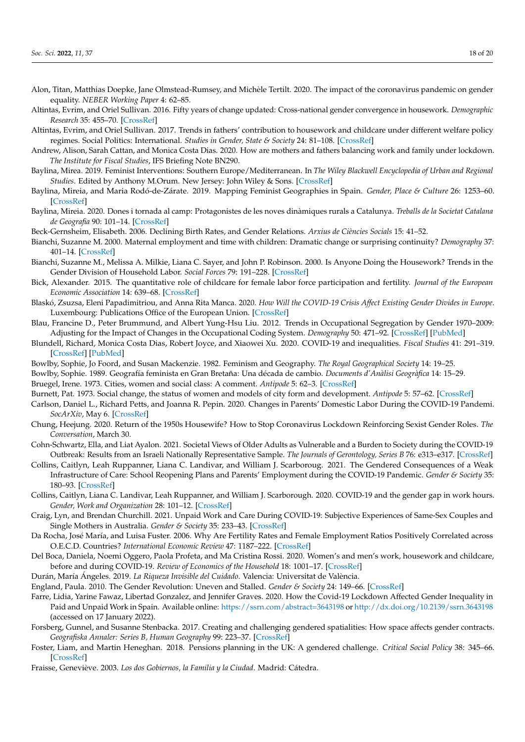- <span id="page-17-11"></span>Alon, Titan, Matthias Doepke, Jane Olmstead-Rumsey, and Michèle Tertilt. 2020. The impact of the coronavirus pandemic on gender equality. *NEBER Working Paper* 4: 62–85.
- <span id="page-17-7"></span>Altintas, Evrim, and Oriel Sullivan. 2016. Fifty years of change updated: Cross-national gender convergence in housework. *Demographic Research* 35: 455–70. [\[CrossRef\]](http://doi.org/10.4054/DemRes.2016.35.16)
- <span id="page-17-8"></span>Altintas, Evrim, and Oriel Sullivan. 2017. Trends in fathers' contribution to housework and childcare under different welfare policy regimes. Social Politics: International. *Studies in Gender, State & Society* 24: 81–108. [\[CrossRef\]](http://doi.org/10.1093/sp/jxw007)
- <span id="page-17-12"></span>Andrew, Alison, Sarah Cattan, and Monica Costa Dias. 2020. How are mothers and fathers balancing work and family under lockdown. *The Institute for Fiscal Studies*, IFS Briefing Note BN290.
- <span id="page-17-24"></span>Baylina, Mirea. 2019. Feminist Interventions: Southern Europe/Mediterranean. In *The Wiley Blackwell Encyclopedia of Urban and Regional Studies*. Edited by Anthony M.Orum. New Jersey: John Wiley & Sons. [\[CrossRef\]](http://doi.org/10.1002/9781118568446.eurs0098)
- <span id="page-17-30"></span>Baylina, Mireia, and Maria Rodó-de-Zárate. 2019. Mapping Feminist Geographies in Spain. *Gender, Place & Culture* 26: 1253–60. [\[CrossRef\]](http://doi.org/10.1080/0966369X.2019.1567473)
- <span id="page-17-25"></span>Baylina, Mireia. 2020. Dones i tornada al camp: Protagonistes de les noves dinàmiques rurals a Catalunya. *Treballs de la Societat Catalana de Geografia* 90: 101–14. [\[CrossRef\]](http://doi.org/10.2436/20.3002.01.201)
- <span id="page-17-6"></span>Beck-Gernsheim, Elisabeth. 2006. Declining Birth Rates, and Gender Relations. *Arxius de Ciències Socials* 15: 41–52.
- <span id="page-17-9"></span>Bianchi, Suzanne M. 2000. Maternal employment and time with children: Dramatic change or surprising continuity? *Demography* 37: 401–14. [\[CrossRef\]](http://doi.org/10.1353/dem.2000.0001)
- <span id="page-17-10"></span>Bianchi, Suzanne M., Melissa A. Milkie, Liana C. Sayer, and John P. Robinson. 2000. Is Anyone Doing the Housework? Trends in the Gender Division of Household Labor. *Social Forces* 79: 191–228. [\[CrossRef\]](http://doi.org/10.2307/2675569)
- <span id="page-17-1"></span>Bick, Alexander. 2015. The quantitative role of childcare for female labor force participation and fertility. *Journal of the European Economic Association* 14: 639–68. [\[CrossRef\]](http://doi.org/10.1111/jeea.12143)
- <span id="page-17-15"></span>Blaskó, Zsuzsa, Eleni Papadimitriou, and Anna Rita Manca. 2020. *How Will the COVID-19 Crisis Affect Existing Gender Divides in Europe*. Luxembourg: Publications Office of the European Union. [\[CrossRef\]](http://doi.org/10.2760/37511)
- <span id="page-17-2"></span>Blau, Francine D., Peter Brummund, and Albert Yung-Hsu Liu. 2012. Trends in Occupational Segregation by Gender 1970–2009: Adjusting for the Impact of Changes in the Occupational Coding System. *Demography* 50: 471–92. [\[CrossRef\]](http://doi.org/10.1007/s13524-012-0151-7) [\[PubMed\]](http://www.ncbi.nlm.nih.gov/pubmed/23055237)
- <span id="page-17-13"></span>Blundell, Richard, Monica Costa Dias, Robert Joyce, and Xiaowei Xu. 2020. COVID-19 and inequalities. *Fiscal Studies* 41: 291–319. [\[CrossRef\]](http://doi.org/10.1111/1475-5890.12232) [\[PubMed\]](http://www.ncbi.nlm.nih.gov/pubmed/32836542)
- <span id="page-17-29"></span>Bowlby, Sophie, Jo Foord, and Susan Mackenzie. 1982. Feminism and Geography. *The Royal Geographical Society* 14: 19–25.
- <span id="page-17-28"></span>Bowlby, Sophie. 1989. Geografía feminista en Gran Bretaña: Una década de cambio. *Documents d'Anàlisi Geogràfica* 14: 15–29.
- <span id="page-17-26"></span>Bruegel, Irene. 1973. Cities, women and social class: A comment. *Antipode* 5: 62–3. [\[CrossRef\]](http://doi.org/10.1111/j.1467-8330.1973.tb00576.x)
- <span id="page-17-27"></span>Burnett, Pat. 1973. Social change, the status of women and models of city form and development. *Antipode* 5: 57–62. [\[CrossRef\]](http://doi.org/10.1111/j.1467-8330.1973.tb00575.x)
- <span id="page-17-19"></span>Carlson, Daniel L., Richard Petts, and Joanna R. Pepin. 2020. Changes in Parents' Domestic Labor During the COVID-19 Pandemi. *SocArXiv*, May 6. [\[CrossRef\]](http://doi.org/10.31235/osf.io/jy8fn)
- <span id="page-17-5"></span>Chung, Heejung. 2020. Return of the 1950s Housewife? How to Stop Coronavirus Lockdown Reinforcing Sexist Gender Roles. *The Conversation*, March 30.
- <span id="page-17-18"></span>Cohn-Schwartz, Ella, and Liat Ayalon. 2021. Societal Views of Older Adults as Vulnerable and a Burden to Society during the COVID-19 Outbreak: Results from an Israeli Nationally Representative Sample. *The Journals of Gerontology, Series B* 76: e313–e317. [\[CrossRef\]](http://doi.org/10.1093/geronb/gbaa150)
- <span id="page-17-16"></span>Collins, Caitlyn, Leah Ruppanner, Liana C. Landivar, and William J. Scarboroug. 2021. The Gendered Consequences of a Weak Infrastructure of Care: School Reopening Plans and Parents' Employment during the COVID-19 Pandemic. *Gender & Society* 35: 180–93. [\[CrossRef\]](http://doi.org/10.1177/08912432211001300)
- <span id="page-17-14"></span>Collins, Caitlyn, Liana C. Landivar, Leah Ruppanner, and William J. Scarborough. 2020. COVID-19 and the gender gap in work hours. *Gender, Work and Organization* 28: 101–12. [\[CrossRef\]](http://doi.org/10.1111/gwao.12506)
- <span id="page-17-20"></span>Craig, Lyn, and Brendan Churchill. 2021. Unpaid Work and Care During COVID-19: Subjective Experiences of Same-Sex Couples and Single Mothers in Australia. *Gender & Society* 35: 233–43. [\[CrossRef\]](http://doi.org/10.1177/08912432211001303)
- <span id="page-17-4"></span>Da Rocha, José María, and Luisa Fuster. 2006. Why Are Fertility Rates and Female Employment Ratios Positively Correlated across O.E.C.D. Countries? *International Economic Review* 47: 1187–222. [\[CrossRef\]](http://doi.org/10.1111/j.1468-2354.2006.00410.x)
- <span id="page-17-17"></span>Del Boca, Daniela, Noemi Oggero, Paola Profeta, and Ma Cristina Rossi. 2020. Women's and men's work, housework and childcare, before and during COVID-19. *Review of Economics of the Household* 18: 1001–17. [\[CrossRef\]](http://doi.org/10.1007/s11150-020-09502-1)
- <span id="page-17-31"></span>Durán, María Ángeles. 2019. *La Riqueza Invisible del Cuidado*. Valencia: Universitat de València.
- <span id="page-17-0"></span>England, Paula. 2010. The Gender Revolution: Uneven and Stalled. *Gender & Society* 24: 149–66. [\[CrossRef\]](http://doi.org/10.1177/0891243210361475)
- <span id="page-17-21"></span>Farre, Lidia, Yarine Fawaz, Libertad Gonzalez, and Jennifer Graves. 2020. How the Covid-19 Lockdown Affected Gender Inequality in Paid and Unpaid Work in Spain. Available online: <https://ssrn.com/abstract=3643198> or <http://dx.doi.org/10.2139/ssrn.3643198> (accessed on 17 January 2022).
- <span id="page-17-22"></span>Forsberg, Gunnel, and Susanne Stenbacka. 2017. Creating and challenging gendered spatialities: How space affects gender contracts. *Geografiska Annaler: Series B, Human Geography* 99: 223–37. [\[CrossRef\]](http://doi.org/10.1080/04353684.2017.1303269)
- <span id="page-17-3"></span>Foster, Liam, and Martin Heneghan. 2018. Pensions planning in the UK: A gendered challenge. *Critical Social Policy* 38: 345–66. [\[CrossRef\]](http://doi.org/10.1177/0261018317726639)
- <span id="page-17-23"></span>Fraisse, Geneviève. 2003. *Los dos Gobiernos, la Familia y la Ciudad*. Madrid: Cátedra.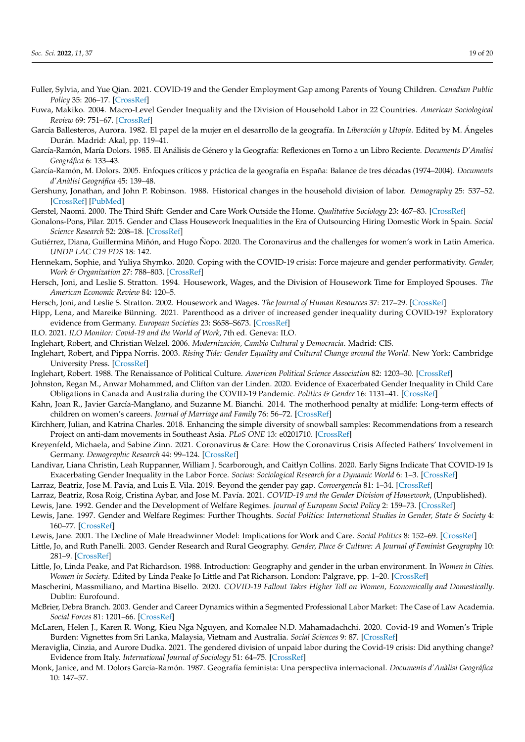- <span id="page-18-14"></span>Fuller, Sylvia, and Yue Qian. 2021. COVID-19 and the Gender Employment Gap among Parents of Young Children. *Canadian Public Policy* 35: 206–17. [\[CrossRef\]](http://doi.org/10.1177/08912432211001287)
- <span id="page-18-0"></span>Fuwa, Makiko. 2004. Macro-Level Gender Inequality and the Division of Household Labor in 22 Countries. *American Sociological Review* 69: 751–67. [\[CrossRef\]](http://doi.org/10.1177/000312240406900601)
- <span id="page-18-31"></span>García Ballesteros, Aurora. 1982. El papel de la mujer en el desarrollo de la geografía. In *Liberación y Utopía*. Edited by M. Ángeles Durán. Madrid: Akal, pp. 119–41.
- <span id="page-18-32"></span>García-Ramón, María Dolors. 1985. El Análisis de Género y la Geografía: Reflexiones en Torno a un Libro Reciente. *Documents D'Analisi Geográfica* 6: 133–43.
- <span id="page-18-23"></span>García-Ramón, M. Dolors. 2005. Enfoques críticos y práctica de la geografía en España: Balance de tres décadas (1974–2004). *Documents d'Anàlisi Geográfica* 45: 139–48.
- <span id="page-18-10"></span>Gershuny, Jonathan, and John P. Robinson. 1988. Historical changes in the household division of labor. *Demography* 25: 537–52. [\[CrossRef\]](http://doi.org/10.2307/2061320) [\[PubMed\]](http://www.ncbi.nlm.nih.gov/pubmed/3267538)
- <span id="page-18-8"></span>Gerstel, Naomi. 2000. The Third Shift: Gender and Care Work Outside the Home. *Qualitative Sociology* 23: 467–83. [\[CrossRef\]](http://doi.org/10.1023/A:1005530909739)
- <span id="page-18-11"></span>Gonalons-Pons, Pilar. 2015. Gender and Class Housework Inequalities in the Era of Outsourcing Hiring Domestic Work in Spain. *Social Science Research* 52: 208–18. [\[CrossRef\]](http://doi.org/10.1016/j.ssresearch.2015.01.008)
- <span id="page-18-5"></span>Gutiérrez, Diana, Guillermina Miñón, and Hugo Ñopo. 2020. The Coronavirus and the challenges for women's work in Latin America. *UNDP LAC C19 PDS* 18: 142.
- <span id="page-18-18"></span>Hennekam, Sophie, and Yuliya Shymko. 2020. Coping with the COVID-19 crisis: Force majeure and gender performativity. *Gender, Work & Organization* 27: 788–803. [\[CrossRef\]](http://doi.org/10.1111/gwao.12479)
- <span id="page-18-1"></span>Hersch, Joni, and Leslie S. Stratton. 1994. Housework, Wages, and the Division of Housework Time for Employed Spouses. *The American Economic Review* 84: 120–5.
- <span id="page-18-2"></span>Hersch, Joni, and Leslie S. Stratton. 2002. Housework and Wages. *The Journal of Human Resources* 37: 217–29. [\[CrossRef\]](http://doi.org/10.2307/3069609)
- <span id="page-18-13"></span>Hipp, Lena, and Mareike Bünning. 2021. Parenthood as a driver of increased gender inequality during COVID-19? Exploratory evidence from Germany. *European Societies* 23: S658–S673. [\[CrossRef\]](http://doi.org/10.1080/14616696.2020.1833229)
- <span id="page-18-12"></span>ILO. 2021. *ILO Monitor: Covid-19 and the World of Work*, 7th ed. Geneva: ILO.
- <span id="page-18-29"></span>Inglehart, Robert, and Christian Welzel. 2006. *Modernización, Cambio Cultural y Democracia*. Madrid: CIS.
- <span id="page-18-28"></span>Inglehart, Robert, and Pippa Norris. 2003. *Rising Tide: Gender Equality and Cultural Change around the World*. New York: Cambridge University Press. [\[CrossRef\]](http://doi.org/10.1017/CBO9780511550362)
- <span id="page-18-27"></span>Inglehart, Robert. 1988. The Renaissance of Political Culture. *American Political Science Association* 82: 1203–30. [\[CrossRef\]](http://doi.org/10.2307/1961756)
- <span id="page-18-19"></span>Johnston, Regan M., Anwar Mohammed, and Clifton van der Linden. 2020. Evidence of Exacerbated Gender Inequality in Child Care Obligations in Canada and Australia during the COVID-19 Pandemic. *Politics & Gender* 16: 1131–41. [\[CrossRef\]](http://doi.org/10.1017/S1743923X20000574)
- <span id="page-18-9"></span>Kahn, Joan R., Javier García-Manglano, and Suzanne M. Bianchi. 2014. The motherhood penalty at midlife: Long-term effects of children on women's careers. *Journal of Marriage and Family* 76: 56–72. [\[CrossRef\]](http://doi.org/10.1111/jomf.12086)
- <span id="page-18-33"></span>Kirchherr, Julian, and Katrina Charles. 2018. Enhancing the simple diversity of snowball samples: Recommendations from a research Project on anti-dam movements in Southeast Asia. *PLoS ONE* 13: e0201710. [\[CrossRef\]](http://doi.org/10.1371/journal.pone.0201710)
- <span id="page-18-16"></span>Kreyenfeld, Michaela, and Sabine Zinn. 2021. Coronavirus & Care: How the Coronavirus Crisis Affected Fathers' Involvement in Germany. *Demographic Research* 44: 99–124. [\[CrossRef\]](http://doi.org/10.4054/DemRes.2021.44.4)
- <span id="page-18-17"></span>Landivar, Liana Christin, Leah Ruppanner, William J. Scarborough, and Caitlyn Collins. 2020. Early Signs Indicate That COVID-19 Is Exacerbating Gender Inequality in the Labor Force. *Socius: Sociological Research for a Dynamic World* 6: 1–3. [\[CrossRef\]](http://doi.org/10.1177/2378023120947997)
- <span id="page-18-6"></span>Larraz, Beatriz, Jose M. Pavía, and Luis E. Vila. 2019. Beyond the gender pay gap. *Convergencia* 81: 1–34. [\[CrossRef\]](http://doi.org/10.29101/crcs.v26i81.11579)
- <span id="page-18-21"></span><span id="page-18-7"></span>Larraz, Beatriz, Rosa Roig, Cristina Aybar, and Jose M. Pavía. 2021. *COVID-19 and the Gender Division of Housework*, (Unpublished). Lewis, Jane. 1992. Gender and the Development of Welfare Regimes. *Journal of European Social Policy* 2: 159–73. [\[CrossRef\]](http://doi.org/10.1177/095892879200200301)
- <span id="page-18-22"></span>Lewis, Jane. 1997. Gender and Welfare Regimes: Further Thoughts. *Social Politics: International Studies in Gender, State & Society* 4: 160–77. [\[CrossRef\]](http://doi.org/10.1093/sp/4.2.160)
- <span id="page-18-26"></span>Lewis, Jane. 2001. The Decline of Male Breadwinner Model: Implications for Work and Care. *Social Politics* 8: 152–69. [\[CrossRef\]](http://doi.org/10.1093/sp/8.2.152)
- <span id="page-18-30"></span>Little, Jo, and Ruth Panelli. 2003. Gender Research and Rural Geography. *Gender, Place & Culture: A Journal of Feminist Geography* 10: 281–9. [\[CrossRef\]](http://doi.org/10.1080/0966369032000114046)
- <span id="page-18-25"></span>Little, Jo, Linda Peake, and Pat Richardson. 1988. Introduction: Geography and gender in the urban environment. In *Women in Cities. Women in Society*. Edited by Linda Peake Jo Little and Pat Richarson. London: Palgrave, pp. 1–20. [\[CrossRef\]](http://doi.org/10.1007/978-1-349-19576-3_1)
- <span id="page-18-3"></span>Mascherini, Massmiliano, and Martina Bisello. 2020. *COVID-19 Fallout Takes Higher Toll on Women, Economically and Domestically*. Dublin: Eurofound.
- <span id="page-18-4"></span>McBrier, Debra Branch. 2003. Gender and Career Dynamics within a Segmented Professional Labor Market: The Case of Law Academia. *Social Forces* 81: 1201–66. [\[CrossRef\]](http://doi.org/10.1353/sof.2003.0065)
- <span id="page-18-15"></span>McLaren, Helen J., Karen R. Wong, Kieu Nga Nguyen, and Komalee N.D. Mahamadachchi. 2020. Covid-19 and Women's Triple Burden: Vignettes from Sri Lanka, Malaysia, Vietnam and Australia. *Social Sciences* 9: 87. [\[CrossRef\]](http://doi.org/10.3390/socsci9050087)
- <span id="page-18-20"></span>Meraviglia, Cinzia, and Aurore Dudka. 2021. The gendered division of unpaid labor during the Covid-19 crisis: Did anything change? Evidence from Italy. *International Journal of Sociology* 51: 64–75. [\[CrossRef\]](http://doi.org/10.1080/00207659.2020.1832346)
- <span id="page-18-24"></span>Monk, Janice, and M. Dolors García-Ramón. 1987. Geografía feminista: Una perspectiva internacional. *Documents d'Anàlisi Geográfica* 10: 147–57.